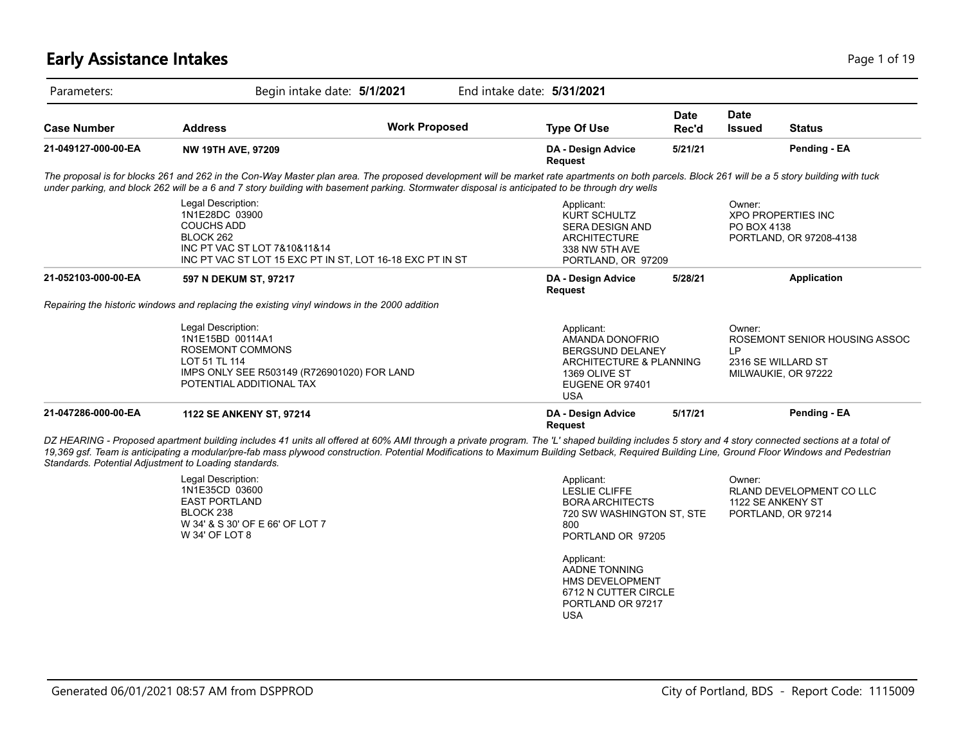## **Early Assistance Intakes** Page 1 of 19

| Parameters:         |                                                                                                                                                                                                                                                                                                                                                                                                                                                               | Begin intake date: 5/1/2021 | End intake date: 5/31/2021                                                                                                 |                         |                              |                                                                            |
|---------------------|---------------------------------------------------------------------------------------------------------------------------------------------------------------------------------------------------------------------------------------------------------------------------------------------------------------------------------------------------------------------------------------------------------------------------------------------------------------|-----------------------------|----------------------------------------------------------------------------------------------------------------------------|-------------------------|------------------------------|----------------------------------------------------------------------------|
| <b>Case Number</b>  | <b>Address</b>                                                                                                                                                                                                                                                                                                                                                                                                                                                | <b>Work Proposed</b>        | <b>Type Of Use</b>                                                                                                         | <b>Date</b><br>Rec'd    | <b>Date</b><br><b>Issued</b> | <b>Status</b>                                                              |
| 21-049127-000-00-EA | <b>NW 19TH AVE, 97209</b>                                                                                                                                                                                                                                                                                                                                                                                                                                     |                             | DA - Design Advice<br><b>Request</b>                                                                                       | 5/21/21                 |                              | Pending - EA                                                               |
|                     | The proposal is for blocks 261 and 262 in the Con-Way Master plan area. The proposed development will be market rate apartments on both parcels. Block 261 will be a 5 story building with tuck<br>under parking, and block 262 will be a 6 and 7 story building with basement parking. Stormwater disposal is anticipated to be through dry wells                                                                                                            |                             |                                                                                                                            |                         |                              |                                                                            |
|                     | Legal Description:<br>1N1E28DC 03900<br><b>COUCHS ADD</b><br>BLOCK 262<br>INC PT VAC ST LOT 7&10&11&14<br>INC PT VAC ST LOT 15 EXC PT IN ST, LOT 16-18 EXC PT IN ST                                                                                                                                                                                                                                                                                           |                             | Applicant:<br><b>KURT SCHULTZ</b><br><b>SERA DESIGN AND</b><br><b>ARCHITECTURE</b><br>338 NW 5TH AVE<br>PORTLAND, OR 97209 |                         | Owner:<br>PO BOX 4138        | <b>XPO PROPERTIES INC</b><br>PORTLAND, OR 97208-4138                       |
| 21-052103-000-00-EA | 597 N DEKUM ST, 97217                                                                                                                                                                                                                                                                                                                                                                                                                                         |                             | DA - Design Advice<br>Request                                                                                              | 5/28/21                 |                              | <b>Application</b>                                                         |
|                     | Repairing the historic windows and replacing the existing vinyl windows in the 2000 addition                                                                                                                                                                                                                                                                                                                                                                  |                             |                                                                                                                            |                         |                              |                                                                            |
|                     | Legal Description:<br>1N1E15BD 00114A1<br><b>ROSEMONT COMMONS</b><br>LOT 51 TL 114<br>IMPS ONLY SEE R503149 (R726901020) FOR LAND<br>POTENTIAL ADDITIONAL TAX                                                                                                                                                                                                                                                                                                 |                             | Applicant:<br>AMANDA DONOFRIO<br><b>BERGSUND DELANEY</b><br>1369 OLIVE ST<br>EUGENE OR 97401<br><b>USA</b>                 | ARCHITECTURE & PLANNING | Owner:<br>IP                 | ROSEMONT SENIOR HOUSING ASSOC<br>2316 SE WILLARD ST<br>MILWAUKIE, OR 97222 |
| 21-047286-000-00-EA | <b>1122 SE ANKENY ST, 97214</b>                                                                                                                                                                                                                                                                                                                                                                                                                               |                             | DA - Design Advice<br><b>Request</b>                                                                                       | 5/17/21                 |                              | Pending - EA                                                               |
|                     | DZ HEARING - Proposed apartment building includes 41 units all offered at 60% AMI through a private program. The 'L' shaped building includes 5 story and 4 story connected sections at a total of<br>19,369 gsf. Team is anticipating a modular/pre-fab mass plywood construction. Potential Modifications to Maximum Building Setback, Required Building Line, Ground Floor Windows and Pedestrian<br>Standards. Potential Adjustment to Loading standards. |                             |                                                                                                                            |                         |                              |                                                                            |
|                     | Legal Description:<br>1N1E35CD 03600                                                                                                                                                                                                                                                                                                                                                                                                                          |                             | Applicant:<br><b>LESLIE CLIFFE</b>                                                                                         |                         | Owner:                       | RLAND DEVELOPMENT CO LLC                                                   |

|                                                                | .                                                     | ----------              |
|----------------------------------------------------------------|-------------------------------------------------------|-------------------------|
| 1N1E35CD 03600                                                 | LESLIE CLIFFE                                         | <b>RLAND DEVELOPMEN</b> |
| EAST PORTLAND                                                  | BORA ARCHITECTS                                       | 1122 SE ANKENY ST       |
| BLOCK 238<br>W 34' & S 30' OF E 66' OF LOT 7<br>W 34' OF LOT 8 | 720 SW WASHINGTON ST. STE<br>800<br>PORTLAND OR 97205 | PORTLAND, OR 97214      |

Applicant: AADNE TONNING HMS DEVELOPMENT 6712 N CUTTER CIRCLE PORTLAND OR 97217 USA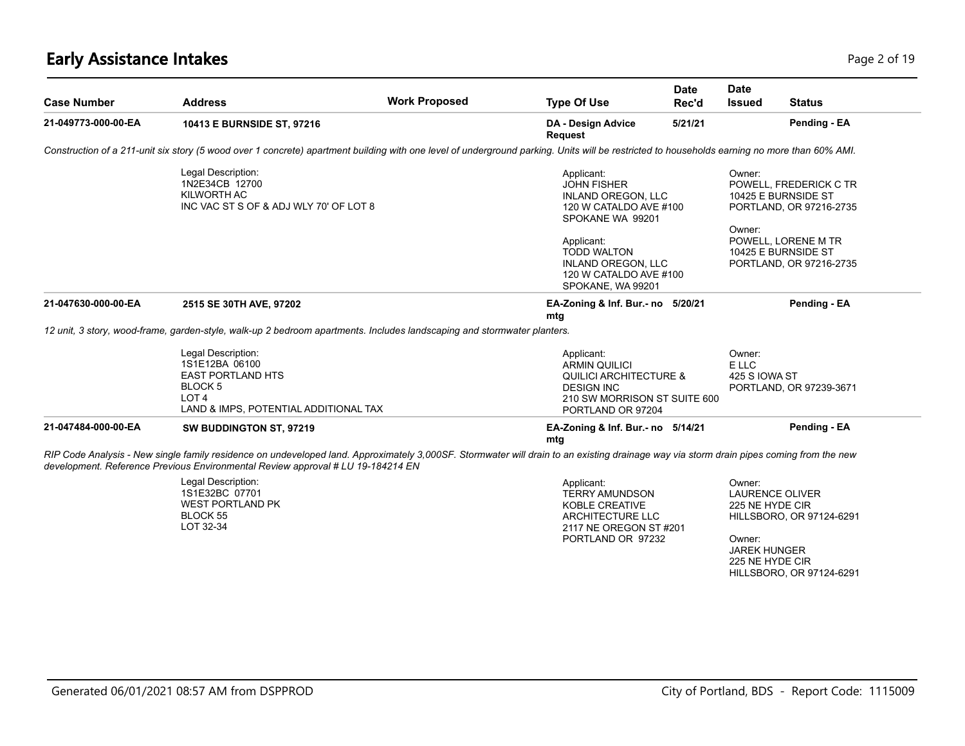# **Early Assistance Intakes** Page 2 of 19

| <b>Case Number</b>  | <b>Address</b>                                                                                                                                                                                                                                                             | <b>Work Proposed</b> | <b>Type Of Use</b>                                                                                                                                | <b>Date</b><br>Rec'd | <b>Date</b><br><b>Issued</b>                                                                            | <b>Status</b>                                                                                   |
|---------------------|----------------------------------------------------------------------------------------------------------------------------------------------------------------------------------------------------------------------------------------------------------------------------|----------------------|---------------------------------------------------------------------------------------------------------------------------------------------------|----------------------|---------------------------------------------------------------------------------------------------------|-------------------------------------------------------------------------------------------------|
| 21-049773-000-00-EA | 10413 E BURNSIDE ST, 97216                                                                                                                                                                                                                                                 |                      | DA - Design Advice<br>Request                                                                                                                     | 5/21/21              |                                                                                                         | Pending - EA                                                                                    |
|                     | Construction of a 211-unit six story (5 wood over 1 concrete) apartment building with one level of underground parking. Units will be restricted to households earning no more than 60% AMI.                                                                               |                      |                                                                                                                                                   |                      |                                                                                                         |                                                                                                 |
|                     | Legal Description:<br>1N2E34CB 12700<br>KILWORTH AC<br>INC VAC ST S OF & ADJ WLY 70' OF LOT 8                                                                                                                                                                              |                      | Applicant:<br><b>JOHN FISHER</b><br><b>INLAND OREGON, LLC</b><br>120 W CATALDO AVE #100<br>SPOKANE WA 99201<br>Applicant:<br><b>TODD WALTON</b>   |                      | Owner:<br>10425 E BURNSIDE ST<br>Owner:                                                                 | POWELL, FREDERICK C TR<br>PORTLAND, OR 97216-2735<br>POWELL, LORENE M TR<br>10425 E BURNSIDE ST |
|                     |                                                                                                                                                                                                                                                                            |                      | <b>INLAND OREGON, LLC</b><br>120 W CATALDO AVE #100<br>SPOKANE, WA 99201                                                                          |                      |                                                                                                         | PORTLAND, OR 97216-2735                                                                         |
| 21-047630-000-00-EA | 2515 SE 30TH AVE, 97202                                                                                                                                                                                                                                                    |                      | EA-Zoning & Inf. Bur.- no 5/20/21<br>mtg                                                                                                          |                      |                                                                                                         | Pending - EA                                                                                    |
|                     | 12 unit, 3 story, wood-frame, garden-style, walk-up 2 bedroom apartments. Includes landscaping and stormwater planters.                                                                                                                                                    |                      |                                                                                                                                                   |                      |                                                                                                         |                                                                                                 |
|                     | Legal Description:<br>1S1E12BA 06100<br><b>EAST PORTLAND HTS</b><br>BLOCK 5<br>LOT <sub>4</sub><br>LAND & IMPS, POTENTIAL ADDITIONAL TAX                                                                                                                                   |                      | Applicant:<br><b>ARMIN QUILICI</b><br><b>QUILICI ARCHITECTURE &amp;</b><br><b>DESIGN INC</b><br>210 SW MORRISON ST SUITE 600<br>PORTLAND OR 97204 |                      | Owner:<br>E LLC<br>425 S IOWA ST                                                                        | PORTLAND, OR 97239-3671                                                                         |
| 21-047484-000-00-EA | SW BUDDINGTON ST, 97219                                                                                                                                                                                                                                                    |                      | EA-Zoning & Inf. Bur.- no 5/14/21<br>mtg                                                                                                          |                      |                                                                                                         | Pending - EA                                                                                    |
|                     | RIP Code Analysis - New single family residence on undeveloped land. Approximately 3,000SF. Stormwater will drain to an existing drainage way via storm drain pipes coming from the new<br>development. Reference Previous Environmental Review approval # LU 19-184214 EN |                      |                                                                                                                                                   |                      |                                                                                                         |                                                                                                 |
|                     | Legal Description:<br>1S1E32BC 07701<br><b>WEST PORTLAND PK</b><br><b>BLOCK 55</b><br>LOT 32-34                                                                                                                                                                            |                      | Applicant:<br><b>TERRY AMUNDSON</b><br><b>KOBLE CREATIVE</b><br>ARCHITECTURE LLC<br>2117 NE OREGON ST #201<br>PORTLAND OR 97232                   |                      | Owner:<br><b>LAURENCE OLIVER</b><br>225 NE HYDE CIR<br>Owner:<br><b>JAREK HUNGER</b><br>225 NE HYDE CIR | HILLSBORO, OR 97124-6291<br>HILLSBORO, OR 97124-6291                                            |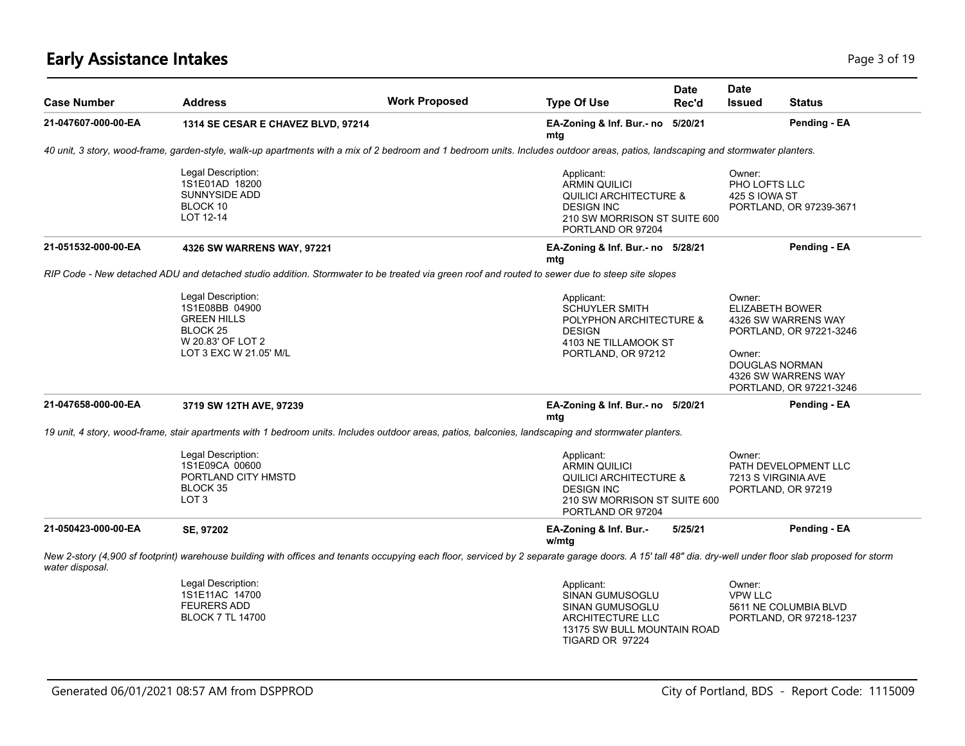# **Early Assistance Intakes** Page 1 of 19 and the state of 19 and the state of 19 and the state of 19 and the Page 3 of 19

| <b>Case Number</b>  | <b>Address</b>                                                                                                                                                                                           | <b>Work Proposed</b> | <b>Type Of Use</b>                                                                                                                                | <b>Date</b><br>Rec'd | <b>Date</b><br><b>Issued</b>                    | <b>Status</b>                                                                                                             |
|---------------------|----------------------------------------------------------------------------------------------------------------------------------------------------------------------------------------------------------|----------------------|---------------------------------------------------------------------------------------------------------------------------------------------------|----------------------|-------------------------------------------------|---------------------------------------------------------------------------------------------------------------------------|
| 21-047607-000-00-EA | 1314 SE CESAR E CHAVEZ BLVD, 97214                                                                                                                                                                       |                      | EA-Zoning & Inf. Bur.- no 5/20/21<br>mtg                                                                                                          |                      |                                                 | Pending - EA                                                                                                              |
|                     | 40 unit, 3 story, wood-frame, garden-style, walk-up apartments with a mix of 2 bedroom and 1 bedroom units. Includes outdoor areas, patios, landscaping and stormwater planters.                         |                      |                                                                                                                                                   |                      |                                                 |                                                                                                                           |
|                     | Legal Description:<br>1S1E01AD 18200<br><b>SUNNYSIDE ADD</b><br>BLOCK 10<br>LOT 12-14                                                                                                                    |                      | Applicant:<br><b>ARMIN QUILICI</b><br><b>QUILICI ARCHITECTURE &amp;</b><br><b>DESIGN INC</b><br>210 SW MORRISON ST SUITE 600<br>PORTLAND OR 97204 |                      | Owner:<br><b>PHO LOFTS LLC</b><br>425 S IOWA ST | PORTLAND, OR 97239-3671                                                                                                   |
| 21-051532-000-00-EA | 4326 SW WARRENS WAY, 97221                                                                                                                                                                               |                      | EA-Zoning & Inf. Bur.- no 5/28/21<br>mtg                                                                                                          |                      |                                                 | Pending - EA                                                                                                              |
|                     | RIP Code - New detached ADU and detached studio addition. Stormwater to be treated via green roof and routed to sewer due to steep site slopes                                                           |                      |                                                                                                                                                   |                      |                                                 |                                                                                                                           |
|                     | Legal Description:<br>1S1E08BB 04900<br><b>GREEN HILLS</b><br>BLOCK <sub>25</sub><br>W 20.83' OF LOT 2<br>LOT 3 EXC W 21.05' M/L                                                                         |                      | Applicant:<br>SCHUYLER SMITH<br>POLYPHON ARCHITECTURE &<br><b>DESIGN</b><br>4103 NE TILLAMOOK ST<br>PORTLAND, OR 97212                            |                      | Owner:<br>ELIZABETH BOWER<br>Owner:             | 4326 SW WARRENS WAY<br>PORTLAND, OR 97221-3246<br><b>DOUGLAS NORMAN</b><br>4326 SW WARRENS WAY<br>PORTLAND, OR 97221-3246 |
| 21-047658-000-00-EA | 3719 SW 12TH AVE, 97239                                                                                                                                                                                  |                      | EA-Zoning & Inf. Bur.- no 5/20/21<br>mtg                                                                                                          |                      |                                                 | Pending - EA                                                                                                              |
|                     | 19 unit, 4 story, wood-frame, stair apartments with 1 bedroom units. Includes outdoor areas, patios, balconies, landscaping and stormwater planters.                                                     |                      |                                                                                                                                                   |                      |                                                 |                                                                                                                           |
|                     | Legal Description:<br>1S1E09CA 00600<br>PORTLAND CITY HMSTD<br>BLOCK 35<br>LOT <sub>3</sub>                                                                                                              |                      | Applicant:<br><b>ARMIN QUILICI</b><br><b>QUILICI ARCHITECTURE &amp;</b><br><b>DESIGN INC</b><br>210 SW MORRISON ST SUITE 600<br>PORTLAND OR 97204 |                      | Owner:                                          | PATH DEVELOPMENT LLC<br>7213 S VIRGINIA AVE<br>PORTLAND, OR 97219                                                         |
| 21-050423-000-00-EA | SE, 97202                                                                                                                                                                                                |                      | EA-Zoning & Inf. Bur.-<br>w/mtg                                                                                                                   | 5/25/21              |                                                 | Pending - EA                                                                                                              |
| water disposal.     | New 2-story (4,900 sf footprint) warehouse building with offices and tenants occupying each floor, serviced by 2 separate garage doors. A 15' tall 48" dia. dry-well under floor slab proposed for storm |                      |                                                                                                                                                   |                      |                                                 |                                                                                                                           |
|                     | Legal Description:<br>1S1E11AC 14700<br><b>FEURERS ADD</b><br><b>BLOCK 7 TL 14700</b>                                                                                                                    |                      | Applicant:<br>SINAN GUMUSOGLU<br><b>SINAN GUMUSOGLU</b><br>ARCHITECTURE LLC<br>13175 SW BULL MOUNTAIN ROAD                                        |                      | Owner:<br><b>VPW LLC</b>                        | 5611 NE COLUMBIA BLVD<br>PORTLAND, OR 97218-1237                                                                          |

TIGARD OR 97224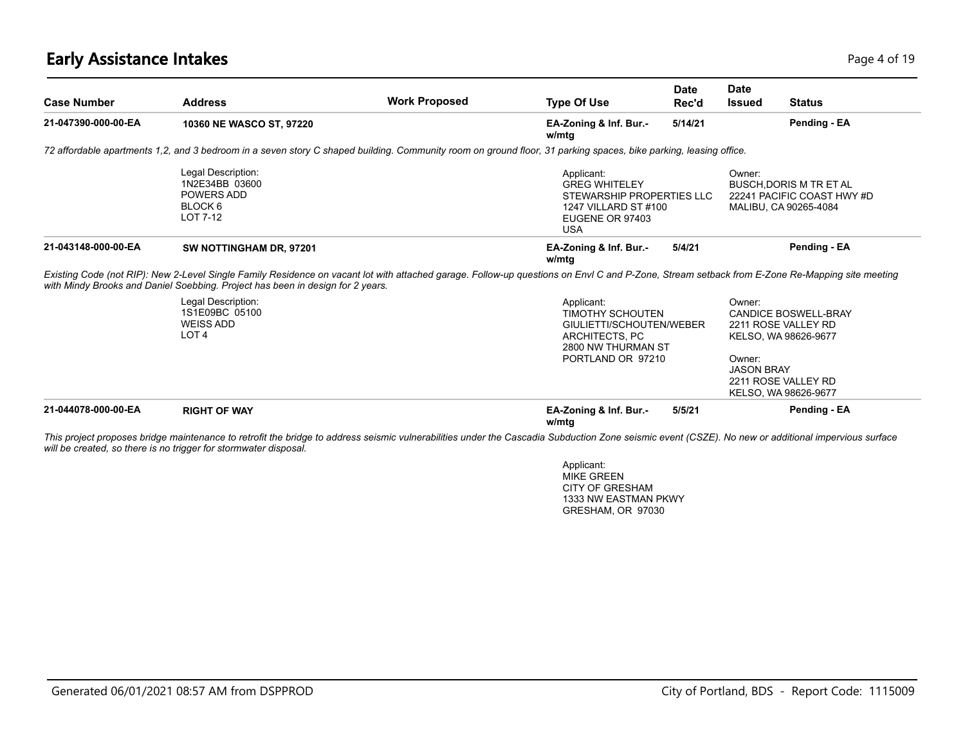## **Early Assistance Intakes** Page 4 of 19

| <b>Case Number</b>  | <b>Address</b>                                                                                                                                                                                                                                                                  | <b>Work Proposed</b> | <b>Type Of Use</b>                                                                                                             | <b>Date</b><br>Rec'd | <b>Date</b><br><b>Issued</b>          | <b>Status</b>                                                                                                             |
|---------------------|---------------------------------------------------------------------------------------------------------------------------------------------------------------------------------------------------------------------------------------------------------------------------------|----------------------|--------------------------------------------------------------------------------------------------------------------------------|----------------------|---------------------------------------|---------------------------------------------------------------------------------------------------------------------------|
| 21-047390-000-00-EA | 10360 NE WASCO ST, 97220                                                                                                                                                                                                                                                        |                      | EA-Zoning & Inf. Bur.-<br>w/mtg                                                                                                | 5/14/21              |                                       | Pending - EA                                                                                                              |
|                     | 72 affordable apartments 1,2, and 3 bedroom in a seven story C shaped building. Community room on ground floor, 31 parking spaces, bike parking, leasing office.                                                                                                                |                      |                                                                                                                                |                      |                                       |                                                                                                                           |
|                     | Legal Description:<br>1N2E34BB 03600<br>POWERS ADD<br>BLOCK 6<br>LOT 7-12                                                                                                                                                                                                       |                      | Applicant:<br><b>GREG WHITELEY</b><br>STEWARSHIP PROPERTIES LLC<br>1247 VILLARD ST #100<br>EUGENE OR 97403<br><b>USA</b>       |                      | Owner:                                | <b>BUSCH, DORIS M TR ET AL</b><br>22241 PACIFIC COAST HWY #D<br>MALIBU, CA 90265-4084                                     |
| 21-043148-000-00-EA | SW NOTTINGHAM DR, 97201                                                                                                                                                                                                                                                         |                      | EA-Zoning & Inf. Bur.-<br>w/mtg                                                                                                | 5/4/21               |                                       | Pending - EA                                                                                                              |
|                     | Existing Code (not RIP): New 2-Level Single Family Residence on vacant lot with attached garage. Follow-up questions on Envl C and P-Zone, Stream setback from E-Zone Re-Mapping site meeting<br>with Mindy Brooks and Daniel Soebbing. Project has been in design for 2 years. |                      |                                                                                                                                |                      |                                       |                                                                                                                           |
|                     | Legal Description:<br>1S1E09BC 05100<br><b>WEISS ADD</b><br>LOT <sub>4</sub>                                                                                                                                                                                                    |                      | Applicant:<br><b>TIMOTHY SCHOUTEN</b><br>GIULIETTI/SCHOUTEN/WEBER<br>ARCHITECTS, PC<br>2800 NW THURMAN ST<br>PORTLAND OR 97210 |                      | Owner:<br>Owner:<br><b>JASON BRAY</b> | <b>CANDICE BOSWELL-BRAY</b><br>2211 ROSE VALLEY RD<br>KELSO, WA 98626-9677<br>2211 ROSE VALLEY RD<br>KELSO, WA 98626-9677 |
| 21-044078-000-00-EA | <b>RIGHT OF WAY</b>                                                                                                                                                                                                                                                             |                      | EA-Zoning & Inf. Bur.-<br>w/mtg                                                                                                | 5/5/21               |                                       | Pending - EA                                                                                                              |

*This project proposes bridge maintenance to retrofit the bridge to address seismic vulnerabilities under the Cascadia Subduction Zone seismic event (CSZE). No new or additional impervious surface will be created, so there is no trigger for stormwater disposal.*

> Applicant: MIKE GREEN CITY OF GRESHAM 1333 NW EASTMAN PKWY GRESHAM, OR 97030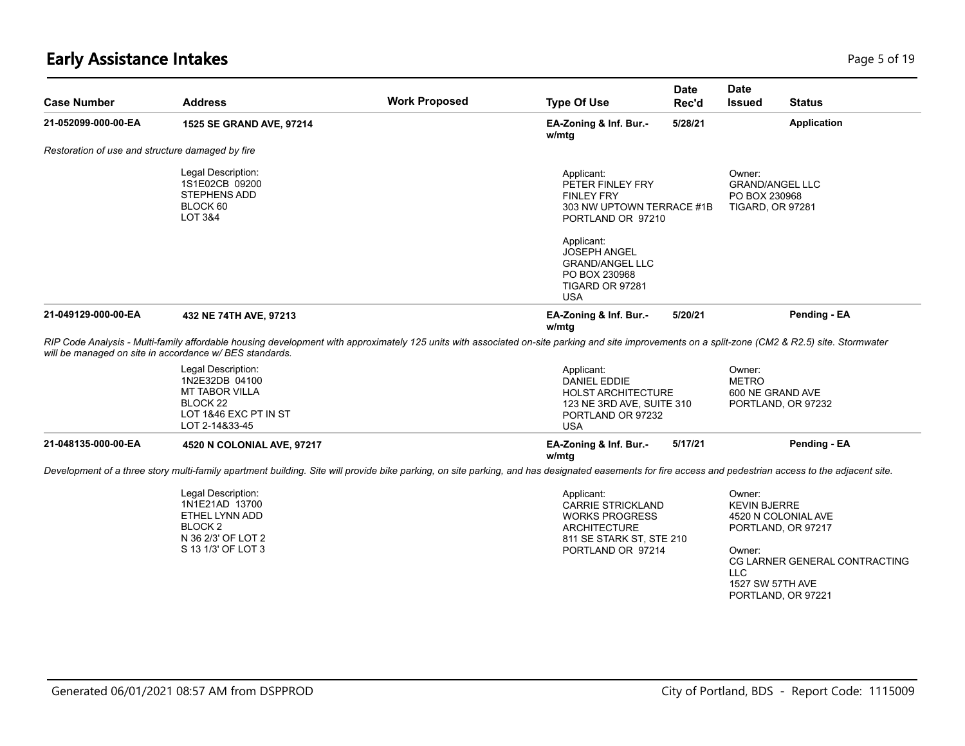| <b>Case Number</b>                               | <b>Address</b>                                                                                                                                                                                                                                              | <b>Work Proposed</b> | <b>Type Of Use</b>                                                                                                                      | Date<br>Rec'd | <b>Date</b><br><b>Issued</b>                                                                          | <b>Status</b>                                                                                                        |                                                                              |  |  |
|--------------------------------------------------|-------------------------------------------------------------------------------------------------------------------------------------------------------------------------------------------------------------------------------------------------------------|----------------------|-----------------------------------------------------------------------------------------------------------------------------------------|---------------|-------------------------------------------------------------------------------------------------------|----------------------------------------------------------------------------------------------------------------------|------------------------------------------------------------------------------|--|--|
| 21-052099-000-00-EA                              | 1525 SE GRAND AVE, 97214                                                                                                                                                                                                                                    |                      | EA-Zoning & Inf. Bur.-<br>w/mtg                                                                                                         | 5/28/21       |                                                                                                       | <b>Application</b>                                                                                                   |                                                                              |  |  |
| Restoration of use and structure damaged by fire |                                                                                                                                                                                                                                                             |                      |                                                                                                                                         |               |                                                                                                       |                                                                                                                      |                                                                              |  |  |
|                                                  | Legal Description:<br>1S1E02CB 09200<br><b>STEPHENS ADD</b><br>BLOCK 60<br>LOT 3&4                                                                                                                                                                          |                      |                                                                                                                                         |               | Applicant:<br>PETER FINLEY FRY<br><b>FINLEY FRY</b><br>303 NW UPTOWN TERRACE #1B<br>PORTLAND OR 97210 |                                                                                                                      | Owner:<br><b>GRAND/ANGEL LLC</b><br>PO BOX 230968<br><b>TIGARD, OR 97281</b> |  |  |
|                                                  |                                                                                                                                                                                                                                                             |                      | Applicant:<br><b>JOSEPH ANGEL</b><br><b>GRAND/ANGEL LLC</b><br>PO BOX 230968<br>TIGARD OR 97281<br><b>USA</b>                           |               |                                                                                                       |                                                                                                                      |                                                                              |  |  |
| 21-049129-000-00-EA                              | 432 NE 74TH AVE, 97213                                                                                                                                                                                                                                      |                      | EA-Zoning & Inf. Bur.-<br>w/mtg                                                                                                         | 5/20/21       |                                                                                                       | Pending - EA                                                                                                         |                                                                              |  |  |
|                                                  | RIP Code Analysis - Multi-family affordable housing development with approximately 125 units with associated on-site parking and site improvements on a split-zone (CM2 & R2.5) site. Stormwater<br>will be managed on site in accordance w/ BES standards. |                      |                                                                                                                                         |               |                                                                                                       |                                                                                                                      |                                                                              |  |  |
|                                                  | Legal Description:<br>1N2E32DB 04100<br>MT TABOR VILLA<br>BLOCK <sub>22</sub><br>LOT 1&46 EXC PT IN ST<br>LOT 2-14&33-45                                                                                                                                    |                      | Applicant:<br>DANIEL EDDIE<br><b>HOLST ARCHITECTURE</b><br>123 NE 3RD AVE, SUITE 310<br>PORTLAND OR 97232<br><b>USA</b>                 |               | Owner:<br><b>METRO</b>                                                                                | 600 NE GRAND AVE<br>PORTLAND, OR 97232                                                                               |                                                                              |  |  |
| 21-048135-000-00-EA                              | 4520 N COLONIAL AVE, 97217                                                                                                                                                                                                                                  |                      | EA-Zoning & Inf. Bur.-<br>w/mtg                                                                                                         | 5/17/21       |                                                                                                       | Pending - EA                                                                                                         |                                                                              |  |  |
|                                                  | Development of a three story multi-family apartment building. Site will provide bike parking, on site parking, and has designated easements for fire access and pedestrian access to the adjacent site.                                                     |                      |                                                                                                                                         |               |                                                                                                       |                                                                                                                      |                                                                              |  |  |
|                                                  | Legal Description:<br>1N1E21AD 13700<br>ETHEL LYNN ADD<br><b>BLOCK 2</b><br>N 36 2/3' OF LOT 2<br>S 13 1/3' OF LOT 3                                                                                                                                        |                      | Applicant:<br><b>CARRIE STRICKLAND</b><br><b>WORKS PROGRESS</b><br><b>ARCHITECTURE</b><br>811 SE STARK ST, STE 210<br>PORTLAND OR 97214 |               | Owner:<br><b>KEVIN BJERRE</b><br>Owner:<br><b>LLC</b>                                                 | 4520 N COLONIAL AVE<br>PORTLAND, OR 97217<br>CG LARNER GENERAL CONTRACTING<br>1527 SW 57TH AVE<br>PORTLAND, OR 97221 |                                                                              |  |  |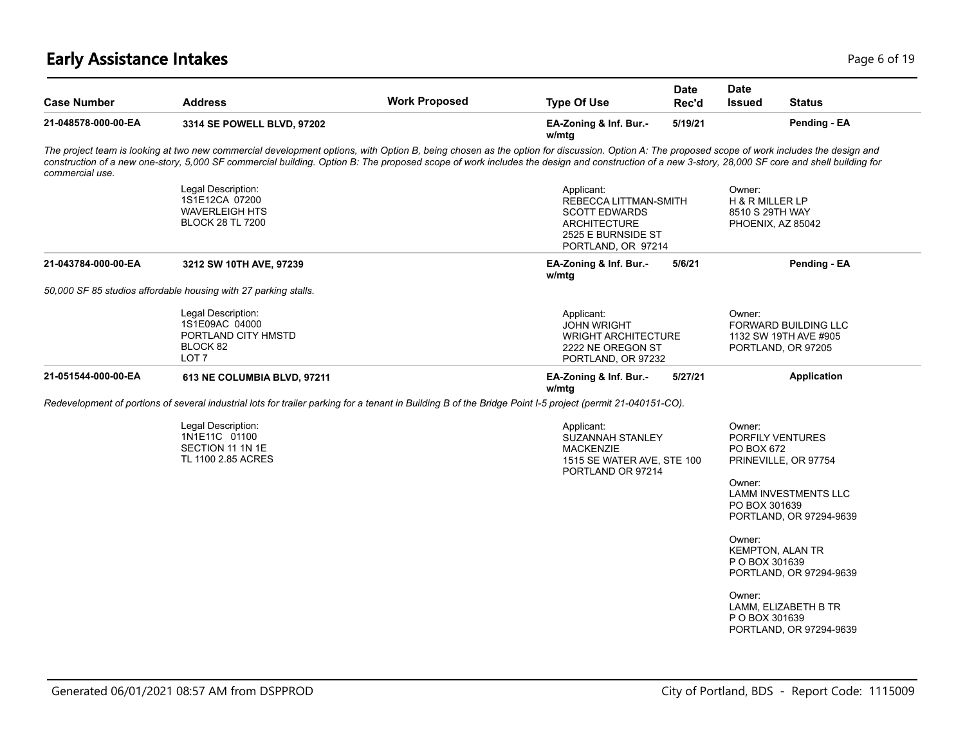# **Early Assistance Intakes** Page 6 of 19

| <b>Case Number</b>  | <b>Address</b>                                                                                                                                                                                                                                                                                                                                                                                    | <b>Work Proposed</b> | <b>Type Of Use</b>                                                                                                      | Date<br>Rec'd | <b>Date</b><br><b>Issued</b>                    | <b>Status</b>                                                                                      |
|---------------------|---------------------------------------------------------------------------------------------------------------------------------------------------------------------------------------------------------------------------------------------------------------------------------------------------------------------------------------------------------------------------------------------------|----------------------|-------------------------------------------------------------------------------------------------------------------------|---------------|-------------------------------------------------|----------------------------------------------------------------------------------------------------|
| 21-048578-000-00-EA | 3314 SE POWELL BLVD, 97202                                                                                                                                                                                                                                                                                                                                                                        |                      | EA-Zoning & Inf. Bur.-<br>w/mtg                                                                                         | 5/19/21       |                                                 | Pending - EA                                                                                       |
| commercial use.     | The project team is looking at two new commercial development options, with Option B, being chosen as the option for discussion. Option A: The proposed scope of work includes the design and<br>construction of a new one-story, 5,000 SF commercial building. Option B: The proposed scope of work includes the design and construction of a new 3-story, 28,000 SF core and shell building for |                      |                                                                                                                         |               |                                                 |                                                                                                    |
|                     | Legal Description:<br>1S1E12CA 07200<br><b>WAVERLEIGH HTS</b><br><b>BLOCK 28 TL 7200</b>                                                                                                                                                                                                                                                                                                          |                      | Applicant:<br>REBECCA LITTMAN-SMITH<br><b>SCOTT EDWARDS</b><br>ARCHITECTURE<br>2525 E BURNSIDE ST<br>PORTLAND, OR 97214 |               | Owner:<br>H & R MILLER LP<br>8510 S 29TH WAY    | PHOENIX, AZ 85042                                                                                  |
| 21-043784-000-00-EA | 3212 SW 10TH AVE, 97239                                                                                                                                                                                                                                                                                                                                                                           |                      | EA-Zoning & Inf. Bur.-<br>w/mtg                                                                                         | 5/6/21        |                                                 | Pending - EA                                                                                       |
|                     | 50,000 SF 85 studios affordable housing with 27 parking stalls.                                                                                                                                                                                                                                                                                                                                   |                      |                                                                                                                         |               |                                                 |                                                                                                    |
|                     | Legal Description:<br>1S1E09AC 04000<br>PORTLAND CITY HMSTD<br>BLOCK 82<br>LOT <sub>7</sub>                                                                                                                                                                                                                                                                                                       |                      | Applicant:<br><b>JOHN WRIGHT</b><br><b>WRIGHT ARCHITECTURE</b><br>2222 NE OREGON ST<br>PORTLAND, OR 97232               |               | Owner:                                          | FORWARD BUILDING LLC<br>1132 SW 19TH AVE #905<br>PORTLAND, OR 97205                                |
| 21-051544-000-00-EA | 613 NE COLUMBIA BLVD, 97211                                                                                                                                                                                                                                                                                                                                                                       |                      | EA-Zoning & Inf. Bur.-<br>w/mtg                                                                                         | 5/27/21       |                                                 | <b>Application</b>                                                                                 |
|                     | Redevelopment of portions of several industrial lots for trailer parking for a tenant in Building B of the Bridge Point I-5 project (permit 21-040151-CO).                                                                                                                                                                                                                                        |                      |                                                                                                                         |               |                                                 |                                                                                                    |
|                     | Legal Description:<br>1N1E11C 01100<br>SECTION 11 1N 1E<br>TL 1100 2.85 ACRES                                                                                                                                                                                                                                                                                                                     |                      | Applicant:<br><b>SUZANNAH STANLEY</b><br><b>MACKENZIE</b><br>1515 SE WATER AVE, STE 100<br>PORTLAND OR 97214            |               | Owner:<br>PO BOX 672<br>Owner:<br>PO BOX 301639 | PORFILY VENTURES<br>PRINEVILLE, OR 97754<br><b>LAMM INVESTMENTS LLC</b><br>PORTLAND, OR 97294-9639 |
|                     |                                                                                                                                                                                                                                                                                                                                                                                                   |                      |                                                                                                                         |               | Owner:<br>P O BOX 301639                        | KEMPTON, ALAN TR<br>PORTLAND, OR 97294-9639                                                        |
|                     |                                                                                                                                                                                                                                                                                                                                                                                                   |                      |                                                                                                                         |               | Owner:<br>P O BOX 301639                        | LAMM, ELIZABETH B TR<br>PORTLAND, OR 97294-9639                                                    |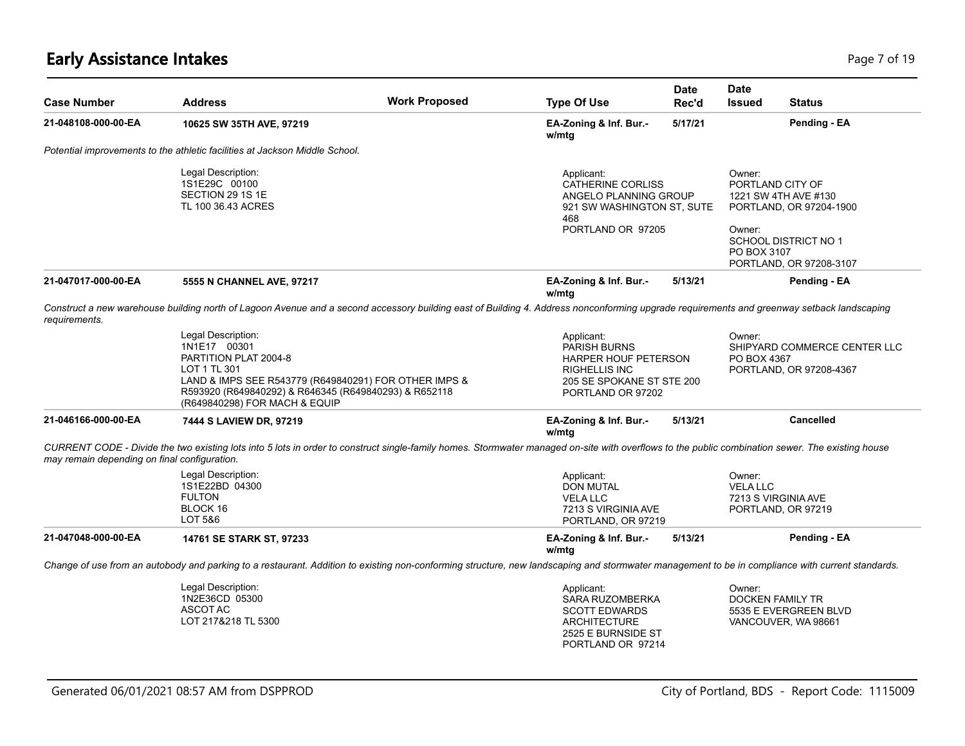# **Early Assistance Intakes** Page 7 of 19

| <b>Case Number</b>                                                            | <b>Address</b>                                                                                                                                                                                                                 | <b>Work Proposed</b> | <b>Type Of Use</b>                                                                                                        | <b>Date</b><br>Rec'd                                                   | <b>Date</b><br><b>Issued</b>                                                                                                          | <b>Status</b>                                                           |  |
|-------------------------------------------------------------------------------|--------------------------------------------------------------------------------------------------------------------------------------------------------------------------------------------------------------------------------|----------------------|---------------------------------------------------------------------------------------------------------------------------|------------------------------------------------------------------------|---------------------------------------------------------------------------------------------------------------------------------------|-------------------------------------------------------------------------|--|
| 21-048108-000-00-EA                                                           | 10625 SW 35TH AVE, 97219                                                                                                                                                                                                       |                      | EA-Zoning & Inf. Bur.-<br>w/mtg                                                                                           | 5/17/21                                                                |                                                                                                                                       | Pending - EA                                                            |  |
|                                                                               | Potential improvements to the athletic facilities at Jackson Middle School.                                                                                                                                                    |                      |                                                                                                                           |                                                                        |                                                                                                                                       |                                                                         |  |
| Legal Description:<br>1S1E29C 00100<br>SECTION 29 1S 1E<br>TL 100 36.43 ACRES |                                                                                                                                                                                                                                |                      | Applicant:<br><b>CATHERINE CORLISS</b><br>ANGELO PLANNING GROUP<br>921 SW WASHINGTON ST, SUTE<br>468<br>PORTLAND OR 97205 |                                                                        | Owner:<br>PORTLAND CITY OF<br>1221 SW 4TH AVE #130<br>PORTLAND, OR 97204-1900<br>Owner:<br><b>SCHOOL DISTRICT NO 1</b><br>PO BOX 3107 |                                                                         |  |
| 21-047017-000-00-EA                                                           | 5555 N CHANNEL AVE, 97217                                                                                                                                                                                                      |                      | EA-Zoning & Inf. Bur.-<br>w/mtg                                                                                           | 5/13/21                                                                |                                                                                                                                       | PORTLAND, OR 97208-3107<br>Pending - EA                                 |  |
| requirements.                                                                 | Construct a new warehouse building north of Lagoon Avenue and a second accessory building east of Building 4. Address nonconforming upgrade requirements and greenway setback landscaping                                      |                      |                                                                                                                           |                                                                        |                                                                                                                                       |                                                                         |  |
|                                                                               | Legal Description:<br>1N1E17 00301<br>PARTITION PLAT 2004-8<br>LOT 1 TL 301<br>LAND & IMPS SEE R543779 (R649840291) FOR OTHER IMPS &<br>R593920 (R649840292) & R646345 (R649840293) & R652118<br>(R649840298) FOR MACH & EQUIP |                      | Applicant:<br><b>PARISH BURNS</b><br><b>RIGHELLIS INC</b>                                                                 | HARPER HOUF PETERSON<br>205 SE SPOKANE ST STE 200<br>PORTLAND OR 97202 |                                                                                                                                       | SHIPYARD COMMERCE CENTER LLC<br>PO BOX 4367<br>PORTLAND, OR 97208-4367  |  |
| 21-046166-000-00-EA                                                           | 7444 S LAVIEW DR, 97219                                                                                                                                                                                                        |                      | EA-Zoning & Inf. Bur.-<br>w/mtg                                                                                           | 5/13/21                                                                |                                                                                                                                       | <b>Cancelled</b>                                                        |  |
| may remain depending on final configuration.                                  | CURRENT CODE - Divide the two existing lots into 5 lots in order to construct single-family homes. Stormwater managed on-site with overflows to the public combination sewer. The existing house                               |                      |                                                                                                                           |                                                                        |                                                                                                                                       |                                                                         |  |
|                                                                               | Legal Description:<br>1S1E22BD 04300<br><b>FULTON</b><br>BLOCK 16<br>LOT 5&6                                                                                                                                                   |                      | Applicant:<br><b>DON MUTAL</b><br><b>VELA LLC</b><br>7213 S VIRGINIA AVE<br>PORTLAND, OR 97219                            |                                                                        | Owner:<br><b>VELA LLC</b>                                                                                                             | 7213 S VIRGINIA AVE<br>PORTLAND, OR 97219                               |  |
| 21-047048-000-00-EA                                                           | 14761 SE STARK ST, 97233                                                                                                                                                                                                       |                      | EA-Zoning & Inf. Bur.-<br>w/mtg                                                                                           | 5/13/21                                                                |                                                                                                                                       | Pending - EA                                                            |  |
|                                                                               | Change of use from an autobody and parking to a restaurant. Addition to existing non-conforming structure, new landscaping and stormwater management to be in compliance with current standards.                               |                      |                                                                                                                           |                                                                        |                                                                                                                                       |                                                                         |  |
|                                                                               | Legal Description:<br>1N2E36CD 05300<br><b>ASCOT AC</b><br>LOT 217&218 TL 5300                                                                                                                                                 |                      | Applicant:<br>SARA RUZOMBERKA<br><b>SCOTT EDWARDS</b><br><b>ARCHITECTURE</b><br>2525 E BURNSIDE ST<br>PORTLAND OR 97214   |                                                                        | Owner:                                                                                                                                | <b>DOCKEN FAMILY TR</b><br>5535 E EVERGREEN BLVD<br>VANCOUVER, WA 98661 |  |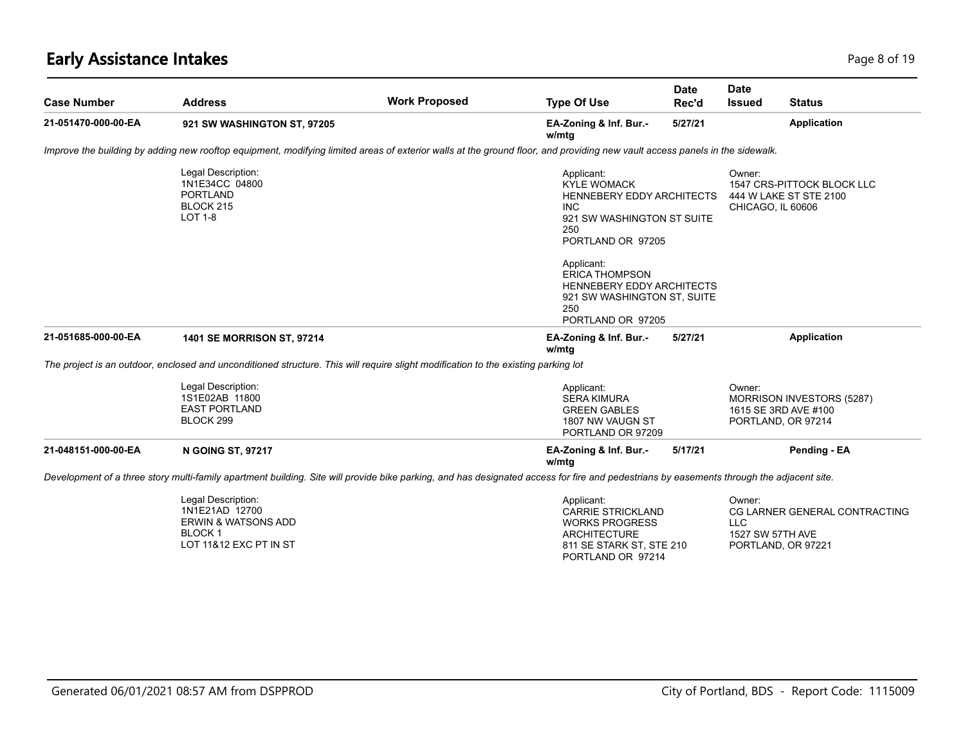# **Early Assistance Intakes** Page 8 of 19

| <b>Case Number</b>  | <b>Address</b>                                                                                                                                                                           | <b>Work Proposed</b> | <b>Type Of Use</b>                                                                                                                      | <b>Date</b><br>Rec'd        | <b>Date</b><br><b>Issued</b>                         | <b>Status</b>                                                           |
|---------------------|------------------------------------------------------------------------------------------------------------------------------------------------------------------------------------------|----------------------|-----------------------------------------------------------------------------------------------------------------------------------------|-----------------------------|------------------------------------------------------|-------------------------------------------------------------------------|
| 21-051470-000-00-EA | 921 SW WASHINGTON ST, 97205                                                                                                                                                              |                      | EA-Zoning & Inf. Bur.-<br>w/mtg                                                                                                         | 5/27/21                     |                                                      | <b>Application</b>                                                      |
|                     | Improve the building by adding new rooftop equipment, modifying limited areas of exterior walls at the ground floor, and providing new vault access panels in the sidewalk.              |                      |                                                                                                                                         |                             |                                                      |                                                                         |
|                     | Legal Description:<br>1N1E34CC 04800<br><b>PORTLAND</b><br>BLOCK 215<br>LOT 1-8                                                                                                          |                      | Applicant:<br><b>KYLE WOMACK</b><br>HENNEBERY EDDY ARCHITECTS<br><b>INC</b><br>921 SW WASHINGTON ST SUITE<br>250<br>PORTLAND OR 97205   | Owner:<br>CHICAGO, IL 60606 | 1547 CRS-PITTOCK BLOCK LLC<br>444 W LAKE ST STE 2100 |                                                                         |
|                     |                                                                                                                                                                                          |                      | Applicant:<br><b>ERICA THOMPSON</b><br>HENNEBERY EDDY ARCHITECTS<br>921 SW WASHINGTON ST, SUITE<br>250<br>PORTLAND OR 97205             |                             |                                                      |                                                                         |
| 21-051685-000-00-EA | 1401 SE MORRISON ST, 97214                                                                                                                                                               |                      | EA-Zoning & Inf. Bur.-<br>w/mtg                                                                                                         | 5/27/21                     |                                                      | <b>Application</b>                                                      |
|                     | The project is an outdoor, enclosed and unconditioned structure. This will require slight modification to the existing parking lot                                                       |                      |                                                                                                                                         |                             |                                                      |                                                                         |
|                     | Legal Description:<br>1S1E02AB 11800<br><b>EAST PORTLAND</b><br>BLOCK 299                                                                                                                |                      | Applicant:<br><b>SERA KIMURA</b><br><b>GREEN GABLES</b><br>1807 NW VAUGN ST<br>PORTLAND OR 97209                                        |                             | Owner:                                               | MORRISON INVESTORS (5287)<br>1615 SE 3RD AVE #100<br>PORTLAND, OR 97214 |
| 21-048151-000-00-EA | <b>N GOING ST, 97217</b>                                                                                                                                                                 |                      | EA-Zoning & Inf. Bur.-<br>w/mtg                                                                                                         | 5/17/21                     |                                                      | Pending - EA                                                            |
|                     | Development of a three story multi-family apartment building. Site will provide bike parking, and has designated access for fire and pedestrians by easements through the adjacent site. |                      |                                                                                                                                         |                             |                                                      |                                                                         |
|                     | Legal Description:<br>1N1E21AD 12700<br><b>ERWIN &amp; WATSONS ADD</b><br><b>BLOCK1</b><br>LOT 11&12 EXC PT IN ST                                                                        |                      | Applicant:<br><b>CARRIE STRICKLAND</b><br><b>WORKS PROGRESS</b><br><b>ARCHITECTURE</b><br>811 SE STARK ST, STE 210<br>PORTLAND OR 97214 |                             | Owner:<br>LLC.<br>1527 SW 57TH AVE                   | CG LARNER GENERAL CONTRACTING<br>PORTLAND, OR 97221                     |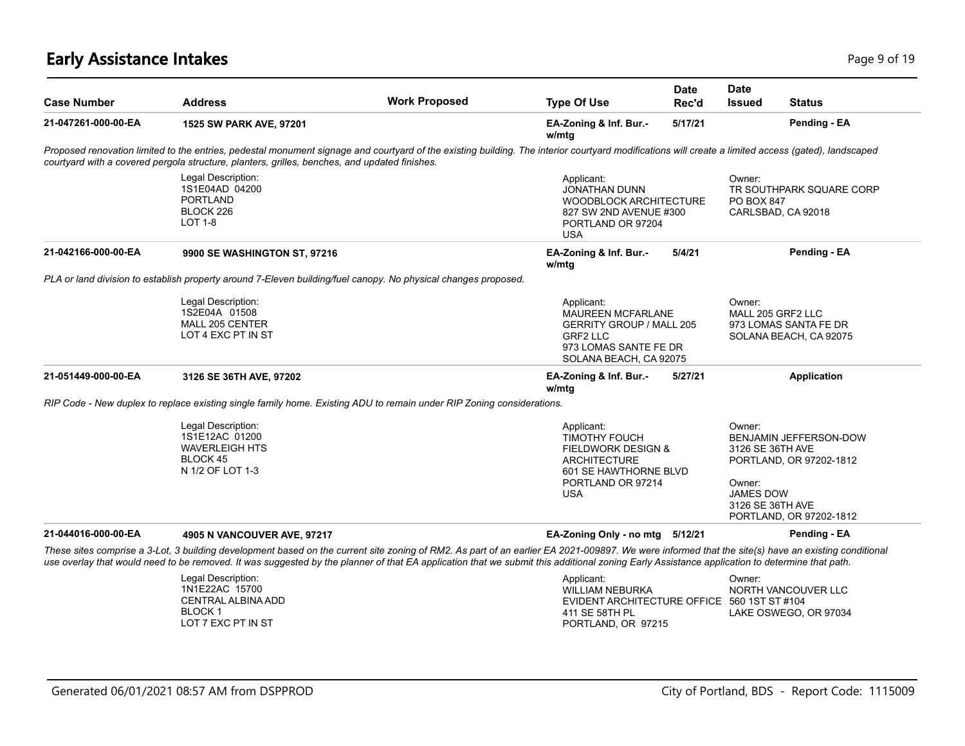## **Early Assistance Intakes** Page 9 of 19

| <b>Case Number</b>  | <b>Address</b>                                                                                                                                                                                                                                                                                                                                                                                     | <b>Work Proposed</b> | <b>Date</b><br><b>Type Of Use</b><br>Rec'd                                                                                                             | <b>Date</b><br><b>Issued</b>         | <b>Status</b>                                                                                                        |
|---------------------|----------------------------------------------------------------------------------------------------------------------------------------------------------------------------------------------------------------------------------------------------------------------------------------------------------------------------------------------------------------------------------------------------|----------------------|--------------------------------------------------------------------------------------------------------------------------------------------------------|--------------------------------------|----------------------------------------------------------------------------------------------------------------------|
| 21-047261-000-00-EA | 1525 SW PARK AVE, 97201                                                                                                                                                                                                                                                                                                                                                                            |                      | 5/17/21<br>EA-Zoning & Inf. Bur.-<br>w/mtg                                                                                                             |                                      | Pending - EA                                                                                                         |
|                     | Proposed renovation limited to the entries, pedestal monument signage and courtyard of the existing building. The interior courtyard modifications will create a limited access (gated), landscaped<br>courtyard with a covered pergola structure, planters, grilles, benches, and updated finishes.                                                                                               |                      |                                                                                                                                                        |                                      |                                                                                                                      |
|                     | Legal Description:<br>1S1E04AD 04200<br><b>PORTLAND</b><br>BLOCK 226<br>$LOT 1-8$                                                                                                                                                                                                                                                                                                                  |                      | Applicant:<br><b>JONATHAN DUNN</b><br>WOODBLOCK ARCHITECTURE<br>827 SW 2ND AVENUE #300<br>PORTLAND OR 97204<br><b>USA</b>                              | Owner:<br><b>PO BOX 847</b>          | TR SOUTHPARK SQUARE CORP<br>CARLSBAD, CA 92018                                                                       |
| 21-042166-000-00-EA | 9900 SE WASHINGTON ST, 97216                                                                                                                                                                                                                                                                                                                                                                       |                      | EA-Zoning & Inf. Bur.-<br>5/4/21<br>w/mtg                                                                                                              |                                      | Pending - EA                                                                                                         |
|                     | PLA or land division to establish property around 7-Eleven building/fuel canopy. No physical changes proposed.                                                                                                                                                                                                                                                                                     |                      |                                                                                                                                                        |                                      |                                                                                                                      |
|                     | Legal Description:<br>1S2E04A 01508<br>MALL 205 CENTER<br>LOT 4 EXC PT IN ST                                                                                                                                                                                                                                                                                                                       |                      | Applicant:<br><b>MAUREEN MCFARLANE</b><br><b>GERRITY GROUP / MALL 205</b><br><b>GRF2 LLC</b><br>973 LOMAS SANTE FE DR<br>SOLANA BEACH, CA 92075        | Owner:                               | MALL 205 GRF2 LLC<br>973 LOMAS SANTA FE DR<br>SOLANA BEACH, CA 92075                                                 |
| 21-051449-000-00-EA | 3126 SE 36TH AVE, 97202                                                                                                                                                                                                                                                                                                                                                                            |                      | EA-Zoning & Inf. Bur.-<br>5/27/21<br>w/mtg                                                                                                             |                                      | <b>Application</b>                                                                                                   |
|                     | RIP Code - New duplex to replace existing single family home. Existing ADU to remain under RIP Zoning considerations.                                                                                                                                                                                                                                                                              |                      |                                                                                                                                                        |                                      |                                                                                                                      |
|                     | Legal Description:<br>1S1E12AC 01200<br><b>WAVERLEIGH HTS</b><br>BLOCK 45<br>N 1/2 OF LOT 1-3                                                                                                                                                                                                                                                                                                      |                      | Applicant:<br><b>TIMOTHY FOUCH</b><br><b>FIELDWORK DESIGN &amp;</b><br><b>ARCHITECTURE</b><br>601 SE HAWTHORNE BLVD<br>PORTLAND OR 97214<br><b>USA</b> | Owner:<br>Owner:<br><b>JAMES DOW</b> | BENJAMIN JEFFERSON-DOW<br>3126 SE 36TH AVE<br>PORTLAND, OR 97202-1812<br>3126 SE 36TH AVE<br>PORTLAND, OR 97202-1812 |
| 21-044016-000-00-EA | 4905 N VANCOUVER AVE, 97217                                                                                                                                                                                                                                                                                                                                                                        |                      | EA-Zoning Only - no mtg 5/12/21                                                                                                                        |                                      | Pending - EA                                                                                                         |
|                     | These sites comprise a 3-Lot, 3 building development based on the current site zoning of RM2. As part of an earlier EA 2021-009897. We were informed that the site(s) have an existing conditional<br>use overlay that would need to be removed. It was suggested by the planner of that EA application that we submit this additional zoning Early Assistance application to determine that path. |                      |                                                                                                                                                        |                                      |                                                                                                                      |
|                     | Legal Description:<br>1N1E22AC 15700<br><b>CENTRAL ALBINA ADD</b>                                                                                                                                                                                                                                                                                                                                  |                      | Applicant:<br><b>WILLIAM NEBURKA</b><br>FVIDENT ARCHITECTURE OFFICE 560 1ST ST #104                                                                    | Owner:                               | NORTH VANCOUVER LLC                                                                                                  |

BLOCK 1

LOT 7 EXC PT IN ST

LAKE OSWEGO, OR 97034

EVIDENT ARCHITECTURE OFFICE 560 1ST ST #104

411 SE 58TH PL PORTLAND, OR 97215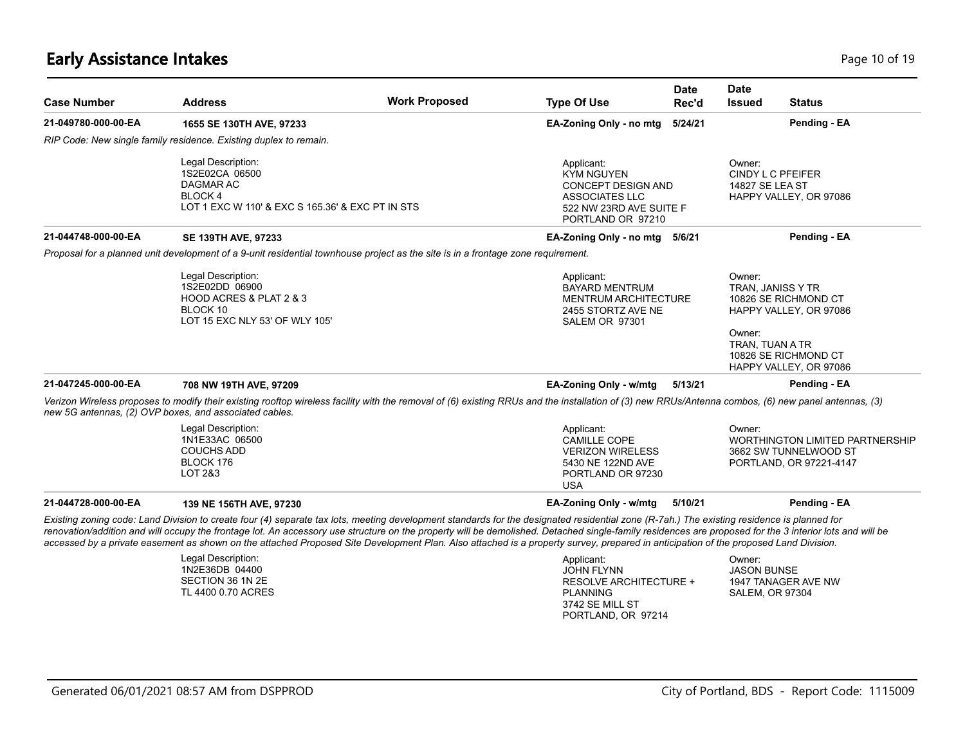## **Early Assistance Intakes** Page 10 of 19

| <b>Case Number</b>  | <b>Address</b>                                                                                                                                                                                                                                                                                                                                                                                                                                                                                                                                                                               | <b>Work Proposed</b> | <b>Type Of Use</b>                                                                                                                    | <b>Date</b><br>Rec'd | <b>Date</b><br><b>Issued</b>                             | <b>Status</b>                                                                                    |
|---------------------|----------------------------------------------------------------------------------------------------------------------------------------------------------------------------------------------------------------------------------------------------------------------------------------------------------------------------------------------------------------------------------------------------------------------------------------------------------------------------------------------------------------------------------------------------------------------------------------------|----------------------|---------------------------------------------------------------------------------------------------------------------------------------|----------------------|----------------------------------------------------------|--------------------------------------------------------------------------------------------------|
| 21-049780-000-00-EA | 1655 SE 130TH AVE, 97233                                                                                                                                                                                                                                                                                                                                                                                                                                                                                                                                                                     |                      | EA-Zoning Only - no mtg                                                                                                               | 5/24/21              |                                                          | Pending - EA                                                                                     |
|                     | RIP Code: New single family residence. Existing duplex to remain.                                                                                                                                                                                                                                                                                                                                                                                                                                                                                                                            |                      |                                                                                                                                       |                      |                                                          |                                                                                                  |
|                     | Legal Description:<br>1S2E02CA 06500<br>DAGMAR AC<br><b>BLOCK4</b><br>LOT 1 EXC W 110' & EXC S 165.36' & EXC PT IN STS                                                                                                                                                                                                                                                                                                                                                                                                                                                                       |                      | Applicant:<br><b>KYM NGUYEN</b><br><b>CONCEPT DESIGN AND</b><br><b>ASSOCIATES LLC</b><br>522 NW 23RD AVE SUITE F<br>PORTLAND OR 97210 |                      | Owner:<br>CINDY L C PFEIFER<br>14827 SE LEA ST           | HAPPY VALLEY, OR 97086                                                                           |
| 21-044748-000-00-EA | <b>SE 139TH AVE, 97233</b>                                                                                                                                                                                                                                                                                                                                                                                                                                                                                                                                                                   |                      | EA-Zoning Only - no mtg 5/6/21                                                                                                        |                      |                                                          | Pending - EA                                                                                     |
|                     | Proposal for a planned unit development of a 9-unit residential townhouse project as the site is in a frontage zone requirement.                                                                                                                                                                                                                                                                                                                                                                                                                                                             |                      |                                                                                                                                       |                      |                                                          |                                                                                                  |
|                     | Legal Description:<br>1S2E02DD 06900<br>HOOD ACRES & PLAT 2 & 3<br>BLOCK 10<br>LOT 15 EXC NLY 53' OF WLY 105'                                                                                                                                                                                                                                                                                                                                                                                                                                                                                |                      | Applicant:<br><b>BAYARD MENTRUM</b><br><b>MENTRUM ARCHITECTURE</b><br>2455 STORTZ AVE NE<br>SALEM OR 97301                            |                      | Owner:<br>TRAN, JANISS Y TR<br>Owner:<br>TRAN, TUAN A TR | 10826 SE RICHMOND CT<br>HAPPY VALLEY, OR 97086<br>10826 SE RICHMOND CT<br>HAPPY VALLEY, OR 97086 |
| 21-047245-000-00-EA | 708 NW 19TH AVE, 97209                                                                                                                                                                                                                                                                                                                                                                                                                                                                                                                                                                       |                      | EA-Zoning Only - w/mtg                                                                                                                | 5/13/21              |                                                          | Pending - EA                                                                                     |
|                     | Verizon Wireless proposes to modify their existing rooftop wireless facility with the removal of (6) existing RRUs and the installation of (3) new RRUs/Antenna combos, (6) new panel antennas, (3)<br>new 5G antennas, (2) OVP boxes, and associated cables.                                                                                                                                                                                                                                                                                                                                |                      |                                                                                                                                       |                      |                                                          |                                                                                                  |
|                     | Legal Description:<br>1N1E33AC 06500<br><b>COUCHS ADD</b><br>BLOCK 176<br>LOT 2&3                                                                                                                                                                                                                                                                                                                                                                                                                                                                                                            |                      | Applicant:<br><b>CAMILLE COPE</b><br><b>VERIZON WIRELESS</b><br>5430 NE 122ND AVE<br>PORTLAND OR 97230<br><b>USA</b>                  |                      | Owner:                                                   | <b>WORTHINGTON LIMITED PARTNERSHIP</b><br>3662 SW TUNNELWOOD ST<br>PORTLAND, OR 97221-4147       |
| 21-044728-000-00-EA | 139 NE 156TH AVE, 97230                                                                                                                                                                                                                                                                                                                                                                                                                                                                                                                                                                      |                      | EA-Zoning Only - w/mtg                                                                                                                | 5/10/21              |                                                          | Pending - EA                                                                                     |
|                     | Existing zoning code: Land Division to create four (4) separate tax lots, meeting development standards for the designated residential zone (R-7ah.) The existing residence is planned for<br>renovation/addition and will occupy the frontage lot. An accessory use structure on the property will be demolished. Detached single-family residences are proposed for the 3 interior lots and will be<br>accessed by a private easement as shown on the attached Proposed Site Development Plan. Also attached is a property survey, prepared in anticipation of the proposed Land Division. |                      |                                                                                                                                       |                      |                                                          |                                                                                                  |
|                     | Legal Description:<br>1N2E36DB 04400<br>SECTION 36 1N 2E<br>TL 4400 0.70 ACRES                                                                                                                                                                                                                                                                                                                                                                                                                                                                                                               |                      | Applicant:<br><b>JOHN FLYNN</b><br><b>RESOLVE ARCHITECTURE +</b><br><b>PLANNING</b>                                                   |                      | Owner:<br><b>JASON BUNSE</b><br><b>SALEM, OR 97304</b>   | 1947 TANAGER AVE NW                                                                              |

3742 SE MILL ST PORTLAND, OR 97214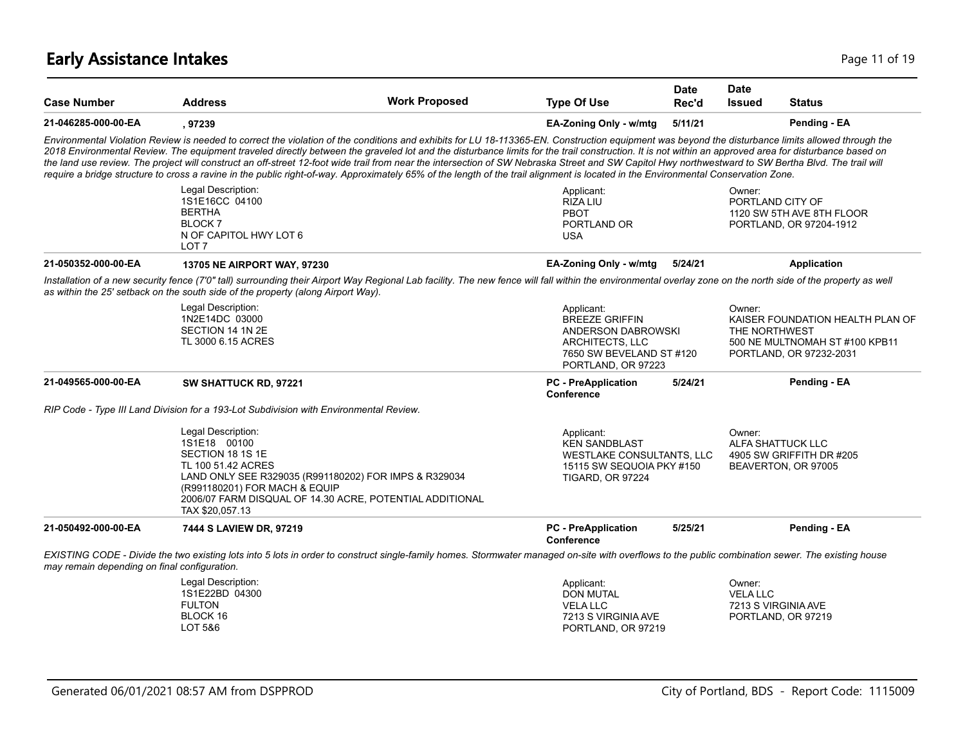# **Early Assistance Intakes** Page 11 of 19

| <b>Case Number</b>                           | <b>Address</b>                                                                                                                   | <b>Work Proposed</b>                                                                                                                                                                                                                                                                                                                                                                                                                                                                                                                                                                                                                                                                                                                                                                                      | <b>Type Of Use</b>                                                                                                                    | Date<br>Rec'd | <b>Date</b><br><b>Issued</b> | <b>Status</b>                                                                                 |
|----------------------------------------------|----------------------------------------------------------------------------------------------------------------------------------|-----------------------------------------------------------------------------------------------------------------------------------------------------------------------------------------------------------------------------------------------------------------------------------------------------------------------------------------------------------------------------------------------------------------------------------------------------------------------------------------------------------------------------------------------------------------------------------------------------------------------------------------------------------------------------------------------------------------------------------------------------------------------------------------------------------|---------------------------------------------------------------------------------------------------------------------------------------|---------------|------------------------------|-----------------------------------------------------------------------------------------------|
| 21-046285-000-00-EA                          | , 97239                                                                                                                          |                                                                                                                                                                                                                                                                                                                                                                                                                                                                                                                                                                                                                                                                                                                                                                                                           | EA-Zoning Only - w/mtg                                                                                                                | 5/11/21       |                              | Pending - EA                                                                                  |
|                                              |                                                                                                                                  | Environmental Violation Review is needed to correct the violation of the conditions and exhibits for LU 18-113365-EN. Construction equipment was beyond the disturbance limits allowed through the<br>2018 Environmental Review. The equipment traveled directly between the graveled lot and the disturbance limits for the trail construction. It is not within an approved area for disturbance based on<br>the land use review. The project will construct an off-street 12-foot wide trail from near the intersection of SW Nebraska Street and SW Capitol Hwy northwestward to SW Bertha Blvd. The trail will<br>require a bridge structure to cross a ravine in the public right-of-way. Approximately 65% of the length of the trail alignment is located in the Environmental Conservation Zone. |                                                                                                                                       |               |                              |                                                                                               |
|                                              | Legal Description:<br>1S1E16CC 04100<br><b>BERTHA</b><br><b>BLOCK 7</b><br>N OF CAPITOL HWY LOT 6<br>LOT <sub>7</sub>            |                                                                                                                                                                                                                                                                                                                                                                                                                                                                                                                                                                                                                                                                                                                                                                                                           | Applicant:<br>RIZA LIU<br>PBOT<br>PORTLAND OR<br><b>USA</b>                                                                           |               | Owner:                       | PORTLAND CITY OF<br>1120 SW 5TH AVE 8TH FLOOR<br>PORTLAND, OR 97204-1912                      |
| 21-050352-000-00-EA                          | <b>13705 NE AIRPORT WAY, 97230</b>                                                                                               |                                                                                                                                                                                                                                                                                                                                                                                                                                                                                                                                                                                                                                                                                                                                                                                                           | EA-Zoning Only - w/mtg                                                                                                                | 5/24/21       |                              | <b>Application</b>                                                                            |
|                                              | as within the 25' setback on the south side of the property (along Airport Way).                                                 | Installation of a new security fence (7'0" tall) surrounding their Airport Way Regional Lab facility. The new fence will fall within the environmental overlay zone on the north side of the property as well                                                                                                                                                                                                                                                                                                                                                                                                                                                                                                                                                                                             |                                                                                                                                       |               |                              |                                                                                               |
|                                              | Legal Description:<br>1N2E14DC 03000<br>SECTION 14 1N 2E<br>TL 3000 6.15 ACRES                                                   |                                                                                                                                                                                                                                                                                                                                                                                                                                                                                                                                                                                                                                                                                                                                                                                                           | Applicant:<br><b>BREEZE GRIFFIN</b><br>ANDERSON DABROWSKI<br><b>ARCHITECTS, LLC</b><br>7650 SW BEVELAND ST #120<br>PORTLAND, OR 97223 |               | Owner:<br>THE NORTHWEST      | KAISER FOUNDATION HEALTH PLAN OF<br>500 NE MULTNOMAH ST #100 KPB11<br>PORTLAND, OR 97232-2031 |
| 21-049565-000-00-EA                          | SW SHATTUCK RD, 97221                                                                                                            |                                                                                                                                                                                                                                                                                                                                                                                                                                                                                                                                                                                                                                                                                                                                                                                                           | <b>PC</b> - PreApplication<br>Conference                                                                                              | 5/24/21       |                              | Pending - EA                                                                                  |
|                                              | RIP Code - Type III Land Division for a 193-Lot Subdivision with Environmental Review.                                           |                                                                                                                                                                                                                                                                                                                                                                                                                                                                                                                                                                                                                                                                                                                                                                                                           |                                                                                                                                       |               |                              |                                                                                               |
|                                              | Legal Description:<br>1S1E18 00100<br>SECTION 18 1S 1E<br>TL 100 51.42 ACRES<br>(R991180201) FOR MACH & EQUIP<br>TAX \$20,057.13 | LAND ONLY SEE R329035 (R991180202) FOR IMPS & R329034<br>2006/07 FARM DISQUAL OF 14.30 ACRE, POTENTIAL ADDITIONAL                                                                                                                                                                                                                                                                                                                                                                                                                                                                                                                                                                                                                                                                                         | Applicant:<br><b>KEN SANDBLAST</b><br>WESTLAKE CONSULTANTS, LLC<br>15115 SW SEQUOIA PKY #150<br>TIGARD, OR 97224                      |               | Owner:                       | ALFA SHATTUCK LLC<br>4905 SW GRIFFITH DR #205<br>BEAVERTON, OR 97005                          |
| 21-050492-000-00-EA                          | 7444 S LAVIEW DR, 97219                                                                                                          |                                                                                                                                                                                                                                                                                                                                                                                                                                                                                                                                                                                                                                                                                                                                                                                                           | <b>PC</b> - PreApplication<br>Conference                                                                                              | 5/25/21       |                              | Pending - EA                                                                                  |
| may remain depending on final configuration. |                                                                                                                                  | EXISTING CODE - Divide the two existing lots into 5 lots in order to construct single-family homes. Stormwater managed on-site with overflows to the public combination sewer. The existing house                                                                                                                                                                                                                                                                                                                                                                                                                                                                                                                                                                                                         |                                                                                                                                       |               |                              |                                                                                               |
|                                              | Legal Description:<br>1S1E22BD 04300<br><b>FULTON</b><br>BLOCK 16<br>LOT 5&6                                                     |                                                                                                                                                                                                                                                                                                                                                                                                                                                                                                                                                                                                                                                                                                                                                                                                           | Applicant:<br><b>DON MUTAL</b><br><b>VELA LLC</b><br>7213 S VIRGINIA AVE<br>PORTLAND, OR 97219                                        |               | Owner:<br><b>VELA LLC</b>    | 7213 S VIRGINIA AVE<br>PORTLAND, OR 97219                                                     |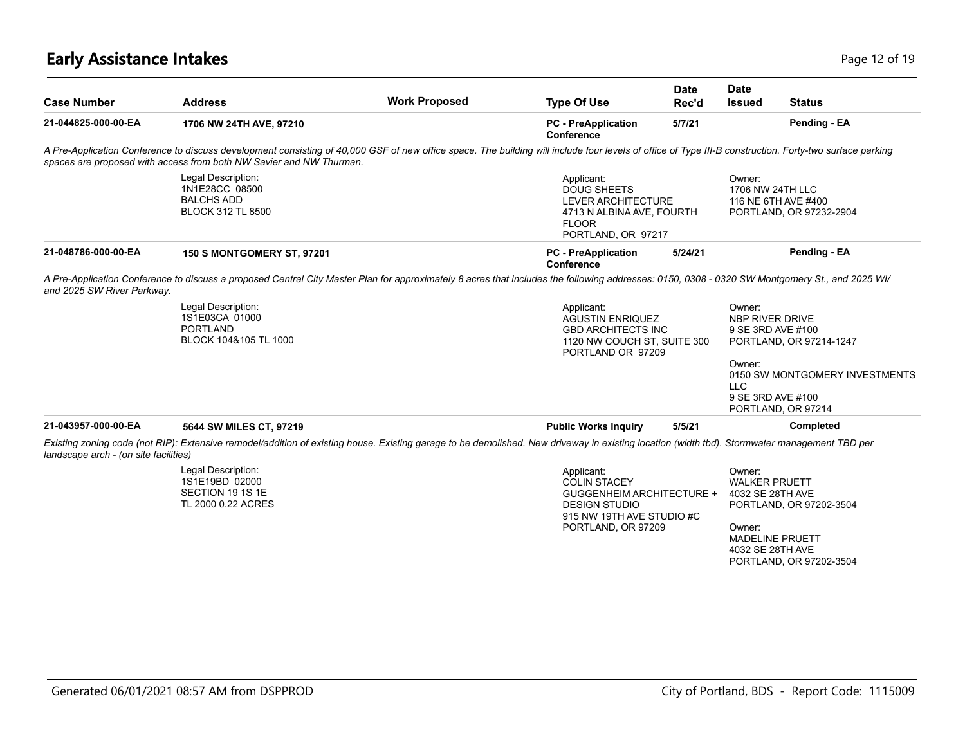# **Early Assistance Intakes** Page 12 of 19

| <b>Case Number</b>                    | <b>Address</b>                                                                                                                                                                                                                                                                 | <b>Work Proposed</b> | <b>Type Of Use</b>                                                                                                                               | <b>Date</b><br>Rec'd                                                                | <b>Date</b><br><b>Issued</b>                                                                               | <b>Status</b>                                                   |
|---------------------------------------|--------------------------------------------------------------------------------------------------------------------------------------------------------------------------------------------------------------------------------------------------------------------------------|----------------------|--------------------------------------------------------------------------------------------------------------------------------------------------|-------------------------------------------------------------------------------------|------------------------------------------------------------------------------------------------------------|-----------------------------------------------------------------|
| 21-044825-000-00-EA                   | 1706 NW 24TH AVE, 97210                                                                                                                                                                                                                                                        |                      | <b>PC</b> - PreApplication<br>Conference                                                                                                         | 5/7/21                                                                              |                                                                                                            | Pending - EA                                                    |
|                                       | A Pre-Application Conference to discuss development consisting of 40,000 GSF of new office space. The building will include four levels of office of Type III-B construction. Forty-two surface parking<br>spaces are proposed with access from both NW Savier and NW Thurman. |                      |                                                                                                                                                  |                                                                                     |                                                                                                            |                                                                 |
|                                       | Legal Description:<br>1N1E28CC 08500<br><b>BALCHS ADD</b><br><b>BLOCK 312 TL 8500</b>                                                                                                                                                                                          |                      | Applicant:<br><b>DOUG SHEETS</b><br>LEVER ARCHITECTURE<br>4713 N ALBINA AVE, FOURTH<br><b>FLOOR</b><br>PORTLAND, OR 97217                        |                                                                                     | Owner:<br>1706 NW 24TH LLC<br>116 NE 6TH AVE #400<br>PORTLAND, OR 97232-2904                               |                                                                 |
| 21-048786-000-00-EA                   | <b>150 S MONTGOMERY ST, 97201</b>                                                                                                                                                                                                                                              |                      | <b>PC</b> - PreApplication<br>Conference                                                                                                         | 5/24/21                                                                             |                                                                                                            | Pending - EA                                                    |
| and 2025 SW River Parkway.            | A Pre-Application Conference to discuss a proposed Central City Master Plan for approximately 8 acres that includes the following addresses: 0150, 0308 - 0320 SW Montgomery St., and 2025 WI/                                                                                 |                      |                                                                                                                                                  |                                                                                     |                                                                                                            |                                                                 |
|                                       | Legal Description:<br>1S1E03CA 01000<br><b>PORTLAND</b><br>BLOCK 104&105 TL 1000                                                                                                                                                                                               |                      | Applicant:<br>PORTLAND OR 97209                                                                                                                  | <b>AGUSTIN ENRIQUEZ</b><br><b>GBD ARCHITECTS INC</b><br>1120 NW COUCH ST, SUITE 300 |                                                                                                            | NBP RIVER DRIVE<br>9 SE 3RD AVE #100<br>PORTLAND, OR 97214-1247 |
|                                       |                                                                                                                                                                                                                                                                                |                      |                                                                                                                                                  |                                                                                     | Owner:<br><b>LLC</b><br>9 SE 3RD AVE #100                                                                  | 0150 SW MONTGOMERY INVESTMENTS<br>PORTLAND, OR 97214            |
| 21-043957-000-00-EA                   | 5644 SW MILES CT, 97219                                                                                                                                                                                                                                                        |                      | <b>Public Works Inquiry</b>                                                                                                                      | 5/5/21                                                                              |                                                                                                            | Completed                                                       |
| landscape arch - (on site facilities) | Existing zoning code (not RIP): Extensive remodel/addition of existing house. Existing garage to be demolished. New driveway in existing location (width tbd). Stormwater management TBD per                                                                                   |                      |                                                                                                                                                  |                                                                                     |                                                                                                            |                                                                 |
|                                       | Legal Description:<br>1S1E19BD 02000<br>SECTION 19 1S 1E<br>TL 2000 0.22 ACRES                                                                                                                                                                                                 |                      | Applicant:<br><b>COLIN STACEY</b><br><b>GUGGENHEIM ARCHITECTURE +</b><br><b>DESIGN STUDIO</b><br>915 NW 19TH AVE STUDIO #C<br>PORTLAND, OR 97209 |                                                                                     | Owner:<br><b>WALKER PRUETT</b><br>4032 SE 28TH AVE<br>Owner:<br><b>MADELINE PRUETT</b><br>4032 SE 28TH AVE | PORTLAND, OR 97202-3504                                         |

PORTLAND, OR 97202-3504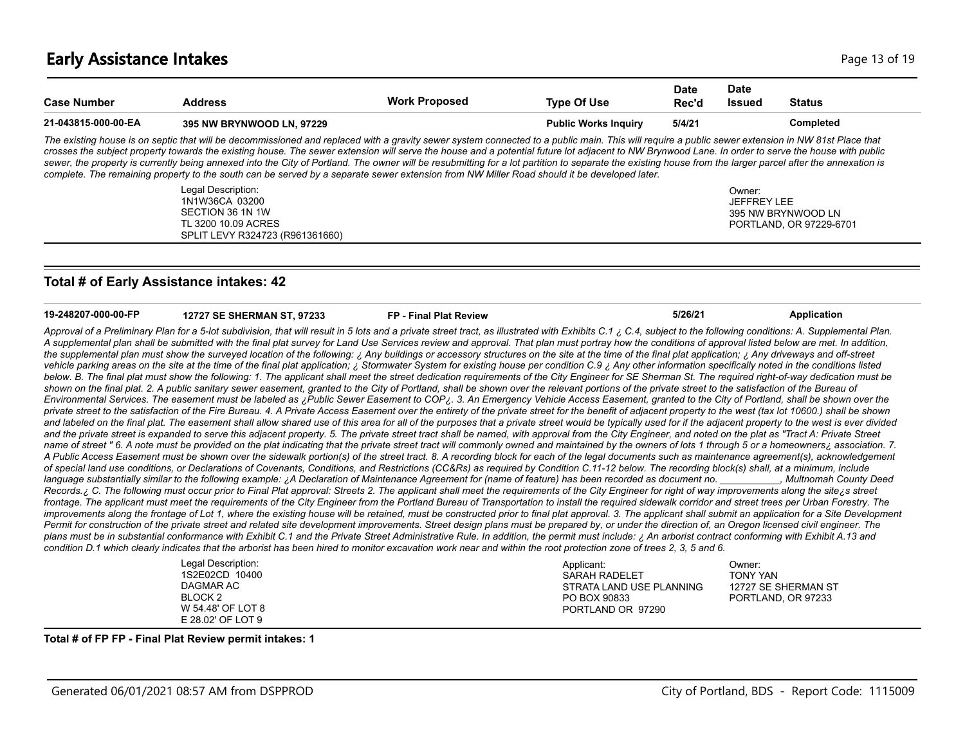| <b>Case Number</b>  | <b>Address</b>                                                                                                                                                                                                                                                                                                                                                                                                                                                                                                                                                                                                                                                                                                                                                       | <b>Work Proposed</b> | <b>Type Of Use</b>          | <b>Date</b><br>Rec'd | Date<br><b>Issued</b>        | <b>Status</b>           |
|---------------------|----------------------------------------------------------------------------------------------------------------------------------------------------------------------------------------------------------------------------------------------------------------------------------------------------------------------------------------------------------------------------------------------------------------------------------------------------------------------------------------------------------------------------------------------------------------------------------------------------------------------------------------------------------------------------------------------------------------------------------------------------------------------|----------------------|-----------------------------|----------------------|------------------------------|-------------------------|
| 21-043815-000-00-EA | <b>395 NW BRYNWOOD LN. 97229</b>                                                                                                                                                                                                                                                                                                                                                                                                                                                                                                                                                                                                                                                                                                                                     |                      | <b>Public Works Inquiry</b> | 5/4/21               |                              | Completed               |
|                     | The existing house is on septic that will be decommissioned and replaced with a gravity sewer system connected to a public main. This will require a public sewer extension in NW 81st Place that<br>crosses the subject property towards the existing house. The sewer extension will serve the house and a potential future lot adjacent to NW Brynwood Lane. In order to serve the house with public<br>sewer, the property is currently being annexed into the City of Portland. The owner will be resubmitting for a lot partition to separate the existing house from the larger parcel after the annexation is<br>complete. The remaining property to the south can be served by a separate sewer extension from NW Miller Road should it be developed later. |                      |                             |                      |                              |                         |
|                     | Legal Description:<br>1N1W36CA 03200                                                                                                                                                                                                                                                                                                                                                                                                                                                                                                                                                                                                                                                                                                                                 |                      |                             |                      | Owner:<br><b>JEFFREY LEE</b> |                         |
|                     | SECTION 36 1N 1W                                                                                                                                                                                                                                                                                                                                                                                                                                                                                                                                                                                                                                                                                                                                                     |                      |                             |                      | 395 NW BRYNWOOD LN           |                         |
|                     | TL 3200 10.09 ACRES                                                                                                                                                                                                                                                                                                                                                                                                                                                                                                                                                                                                                                                                                                                                                  |                      |                             |                      |                              | PORTLAND, OR 97229-6701 |

#### **Total # of Early Assistance intakes: 42**

SPLIT LEVY R324723 (R961361660)

| 19-248207-000-00-FP | <b>12727 SE SHERMAN ST, 97233</b>                                                                                                                                                                                                                                                                                                                                                                                                                                                                                                                                                                                                                                                                                                                                                                                                                                                                                                                                                                                                                                                                                                                                                                                                                                                                                                                                                                                                                                                                                                                                                                                                                                                                                                                                                                                                                                                                                                                                                                                                                                                                                                                                                                                                                                                                                                                                                                                                                                                                                                                                                                                                                                                                                                                                                                                                                                                                                                                                                                                                                                                                                                                                                                                                                                                                                                                                                                                                                                                                                                                                                                                                                                                                                                                                                                                                                                                                                                                                                                                                                                                                                               | <b>FP</b> - Final Plat Review | 5/26/21    | Application |  |
|---------------------|---------------------------------------------------------------------------------------------------------------------------------------------------------------------------------------------------------------------------------------------------------------------------------------------------------------------------------------------------------------------------------------------------------------------------------------------------------------------------------------------------------------------------------------------------------------------------------------------------------------------------------------------------------------------------------------------------------------------------------------------------------------------------------------------------------------------------------------------------------------------------------------------------------------------------------------------------------------------------------------------------------------------------------------------------------------------------------------------------------------------------------------------------------------------------------------------------------------------------------------------------------------------------------------------------------------------------------------------------------------------------------------------------------------------------------------------------------------------------------------------------------------------------------------------------------------------------------------------------------------------------------------------------------------------------------------------------------------------------------------------------------------------------------------------------------------------------------------------------------------------------------------------------------------------------------------------------------------------------------------------------------------------------------------------------------------------------------------------------------------------------------------------------------------------------------------------------------------------------------------------------------------------------------------------------------------------------------------------------------------------------------------------------------------------------------------------------------------------------------------------------------------------------------------------------------------------------------------------------------------------------------------------------------------------------------------------------------------------------------------------------------------------------------------------------------------------------------------------------------------------------------------------------------------------------------------------------------------------------------------------------------------------------------------------------------------------------------------------------------------------------------------------------------------------------------------------------------------------------------------------------------------------------------------------------------------------------------------------------------------------------------------------------------------------------------------------------------------------------------------------------------------------------------------------------------------------------------------------------------------------------------------------------------------------------------------------------------------------------------------------------------------------------------------------------------------------------------------------------------------------------------------------------------------------------------------------------------------------------------------------------------------------------------------------------------------------------------------------------------------------------------|-------------------------------|------------|-------------|--|
|                     | Approval of a Preliminary Plan for a 5-lot subdivision, that will result in 5 lots and a private street tract, as illustrated with Exhibits C.1 i. C.4, subject to the following conditions: A. Supplemental Plan.<br>A supplemental plan shall be submitted with the final plat survey for Land Use Services review and approval. That plan must portray how the conditions of approval listed below are met. In addition,<br>the supplemental plan must show the surveyed location of the following: ¿ Any buildings or accessory structures on the site at the time of the final plat application; ¿ Any driveways and off-street<br>vehicle parking areas on the site at the time of the final plat application; ¿ Stormwater System for existing house per condition C.9 ¿ Any other information specifically noted in the conditions listed<br>below. B. The final plat must show the following: 1. The applicant shall meet the street dedication requirements of the City Engineer for SE Sherman St. The required right-of-way dedication must be<br>shown on the final plat. 2. A public sanitary sewer easement, granted to the City of Portland, shall be shown over the relevant portions of the private street to the satisfaction of the Bureau of<br>Environmental Services. The easement must be labeled as ¿Public Sewer Easement to COP¿. 3. An Emergency Vehicle Access Easement, granted to the City of Portland, shall be shown over the<br>private street to the satisfaction of the Fire Bureau. 4. A Private Access Easement over the entirety of the private street for the benefit of adjacent property to the west (tax lot 10600.) shall be shown<br>and labeled on the final plat. The easement shall allow shared use of this area for all of the purposes that a private street would be typically used for if the adjacent property to the west is ever divided<br>and the private street is expanded to serve this adjacent property. 5. The private street tract shall be named, with approval from the City Engineer, and noted on the plat as "Tract A: Private Street<br>name of street "6. A note must be provided on the plat indicating that the private street tract will commonly owned and maintained by the owners of lots 1 through 5 or a homeowners; association. 7.<br>A Public Access Easement must be shown over the sidewalk portion(s) of the street tract. 8. A recording block for each of the legal documents such as maintenance agreement(s), acknowledgement<br>of special land use conditions, or Declarations of Covenants, Conditions, and Restrictions (CC&Rs) as required by Condition C.11-12 below. The recording block(s) shall, at a minimum, include<br>language substantially similar to the following example: ¿A Declaration of Maintenance Agreement for (name of feature) has been recorded as document no. [Multnomah County Deed<br>Records. ¿C. The following must occur prior to Final Plat approval: Streets 2. The applicant shall meet the requirements of the City Engineer for right of way improvements along the site is street<br>frontage. The applicant must meet the requirements of the City Engineer from the Portland Bureau of Transportation to install the required sidewalk corridor and street trees per Urban Forestry. The<br>improvements along the frontage of Lot 1, where the existing house will be retained, must be constructed prior to final plat approval. 3. The applicant shall submit an application for a Site Development<br>Permit for construction of the private street and related site development improvements. Street design plans must be prepared by, or under the direction of, an Oregon licensed civil engineer. The<br>plans must be in substantial conformance with Exhibit C.1 and the Private Street Administrative Rule. In addition, the permit must include: ¿ An arborist contract conforming with Exhibit A.13 and<br>condition D.1 which clearly indicates that the arborist has been hired to monitor excavation work near and within the root protection zone of trees 2, 3, 5 and 6. |                               |            |             |  |
|                     | Legal Description:                                                                                                                                                                                                                                                                                                                                                                                                                                                                                                                                                                                                                                                                                                                                                                                                                                                                                                                                                                                                                                                                                                                                                                                                                                                                                                                                                                                                                                                                                                                                                                                                                                                                                                                                                                                                                                                                                                                                                                                                                                                                                                                                                                                                                                                                                                                                                                                                                                                                                                                                                                                                                                                                                                                                                                                                                                                                                                                                                                                                                                                                                                                                                                                                                                                                                                                                                                                                                                                                                                                                                                                                                                                                                                                                                                                                                                                                                                                                                                                                                                                                                                              |                               | Applicant: | Owner:      |  |

| Legal Description: | Applicant:               | ::Dwner             |  |
|--------------------|--------------------------|---------------------|--|
| 1S2E02CD 10400     | SARAH RADELET            | TONY YAN            |  |
| DAGMAR AC          | STRATA LAND USE PLANNING | 12727 SE SHERMAN ST |  |
| BLOCK 2            | PO BOX 90833             | PORTLAND, OR 97233  |  |
| W 54.48' OF LOT 8  | PORTLAND OR 97290        |                     |  |
| E 28.02' OF LOT 9  |                          |                     |  |

#### **Total # of FP FP - Final Plat Review permit intakes: 1**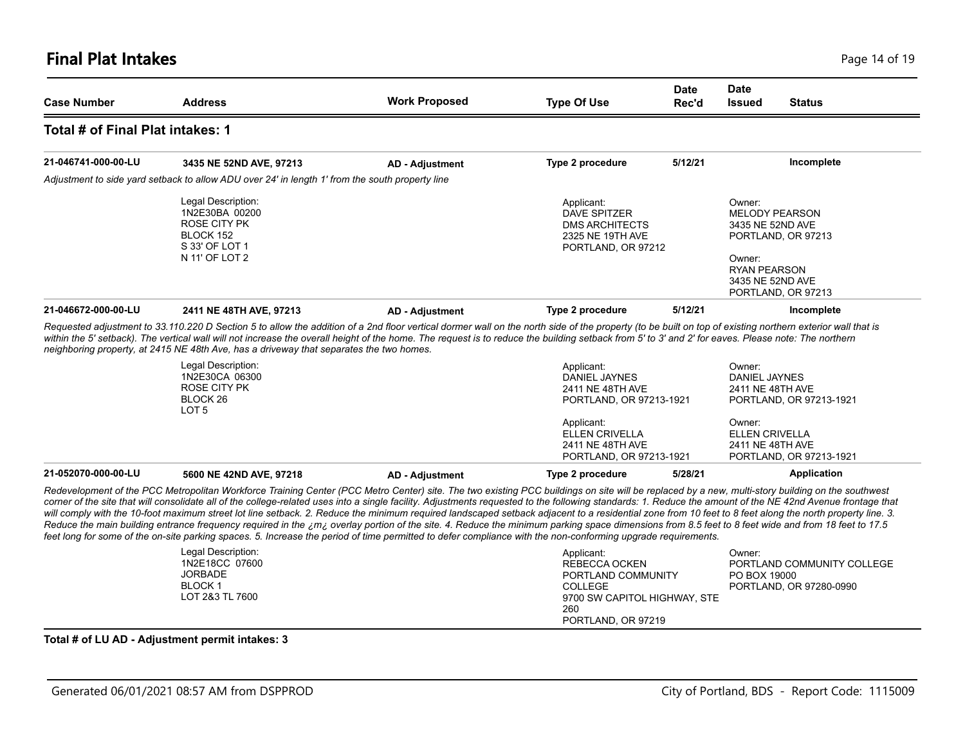## **Final Plat Intakes** Page 14 of 19

| <b>Case Number</b>                                                                                                                                                                                | <b>Address</b>                                                                                                                                                                                                                                                                                                                                                                                                  | <b>Work Proposed</b>                                                                                                                                                                                                                                                                     | <b>Type Of Use</b>                                                                                                                                                                                      | <b>Date</b><br>Rec'd | <b>Date</b><br><b>Issued</b>                                                    | <b>Status</b>                               |
|---------------------------------------------------------------------------------------------------------------------------------------------------------------------------------------------------|-----------------------------------------------------------------------------------------------------------------------------------------------------------------------------------------------------------------------------------------------------------------------------------------------------------------------------------------------------------------------------------------------------------------|------------------------------------------------------------------------------------------------------------------------------------------------------------------------------------------------------------------------------------------------------------------------------------------|---------------------------------------------------------------------------------------------------------------------------------------------------------------------------------------------------------|----------------------|---------------------------------------------------------------------------------|---------------------------------------------|
| Total # of Final Plat intakes: 1                                                                                                                                                                  |                                                                                                                                                                                                                                                                                                                                                                                                                 |                                                                                                                                                                                                                                                                                          |                                                                                                                                                                                                         |                      |                                                                                 |                                             |
| 21-046741-000-00-LU                                                                                                                                                                               | 3435 NE 52ND AVE, 97213                                                                                                                                                                                                                                                                                                                                                                                         | <b>AD - Adjustment</b>                                                                                                                                                                                                                                                                   | Type 2 procedure                                                                                                                                                                                        | 5/12/21              |                                                                                 | Incomplete                                  |
|                                                                                                                                                                                                   | Adjustment to side yard setback to allow ADU over 24' in length 1' from the south property line                                                                                                                                                                                                                                                                                                                 |                                                                                                                                                                                                                                                                                          |                                                                                                                                                                                                         |                      |                                                                                 |                                             |
|                                                                                                                                                                                                   | Legal Description:<br>1N2E30BA 00200<br><b>ROSE CITY PK</b><br>BLOCK 152<br>S 33' OF LOT 1<br>N 11' OF LOT 2                                                                                                                                                                                                                                                                                                    |                                                                                                                                                                                                                                                                                          | Applicant:<br><b>DAVE SPITZER</b><br><b>DMS ARCHITECTS</b><br>2325 NE 19TH AVE<br>PORTLAND, OR 97212                                                                                                    |                      | Owner:<br>3435 NE 52ND AVE<br>Owner:<br><b>RYAN PEARSON</b><br>3435 NE 52ND AVE | <b>MELODY PEARSON</b><br>PORTLAND, OR 97213 |
| 21-046672-000-00-LU                                                                                                                                                                               | 2411 NE 48TH AVE, 97213                                                                                                                                                                                                                                                                                                                                                                                         | <b>AD - Adjustment</b>                                                                                                                                                                                                                                                                   | Type 2 procedure                                                                                                                                                                                        | 5/12/21              |                                                                                 | PORTLAND, OR 97213<br>Incomplete            |
|                                                                                                                                                                                                   | neighboring property, at 2415 NE 48th Ave, has a driveway that separates the two homes.<br>Legal Description:<br>1N2E30CA 06300<br><b>ROSE CITY PK</b><br>BLOCK <sub>26</sub><br>LOT <sub>5</sub>                                                                                                                                                                                                               | within the 5' setback). The vertical wall will not increase the overall height of the home. The request is to reduce the building setback from 5' to 3' and 2' for eaves. Please note: The northern<br>Applicant:<br><b>DANIEL JAYNES</b><br>2411 NE 48TH AVE<br>PORTLAND, OR 97213-1921 |                                                                                                                                                                                                         |                      | Owner:<br><b>DANIEL JAYNES</b><br>2411 NE 48TH AVE                              | PORTLAND, OR 97213-1921                     |
|                                                                                                                                                                                                   |                                                                                                                                                                                                                                                                                                                                                                                                                 |                                                                                                                                                                                                                                                                                          | Applicant:<br><b>ELLEN CRIVELLA</b><br>2411 NE 48TH AVE<br>PORTLAND, OR 97213-1921                                                                                                                      |                      | Owner:<br><b>ELLEN CRIVELLA</b><br>2411 NE 48TH AVE                             | PORTLAND, OR 97213-1921                     |
| 21-052070-000-00-LU                                                                                                                                                                               | 5600 NE 42ND AVE, 97218                                                                                                                                                                                                                                                                                                                                                                                         | <b>AD - Adjustment</b>                                                                                                                                                                                                                                                                   | Type 2 procedure                                                                                                                                                                                        | 5/28/21              |                                                                                 | Application                                 |
| Reduce the main building entrance frequency required in the ¿m¿ overlay portion of the site. 4. Reduce the minimum parking space dimensions from 8.5 feet to 8 feet wide and from 18 feet to 17.5 | Redevelopment of the PCC Metropolitan Workforce Training Center (PCC Metro Center) site. The two existing PCC buildings on site will be replaced by a new, multi-story building on the southwest<br>corner of the site that will consolidate all of the college-related uses into a single facility. Adjustments requested to the following standards: 1. Reduce the amount of the NE 42nd Avenue frontage that |                                                                                                                                                                                                                                                                                          | will comply with the 10-foot maximum street lot line setback. 2. Reduce the minimum required landscaped setback adjacent to a residential zone from 10 feet to 8 feet along the north property line. 3. |                      |                                                                                 |                                             |

#### **Total # of LU AD - Adjustment permit intakes: 3**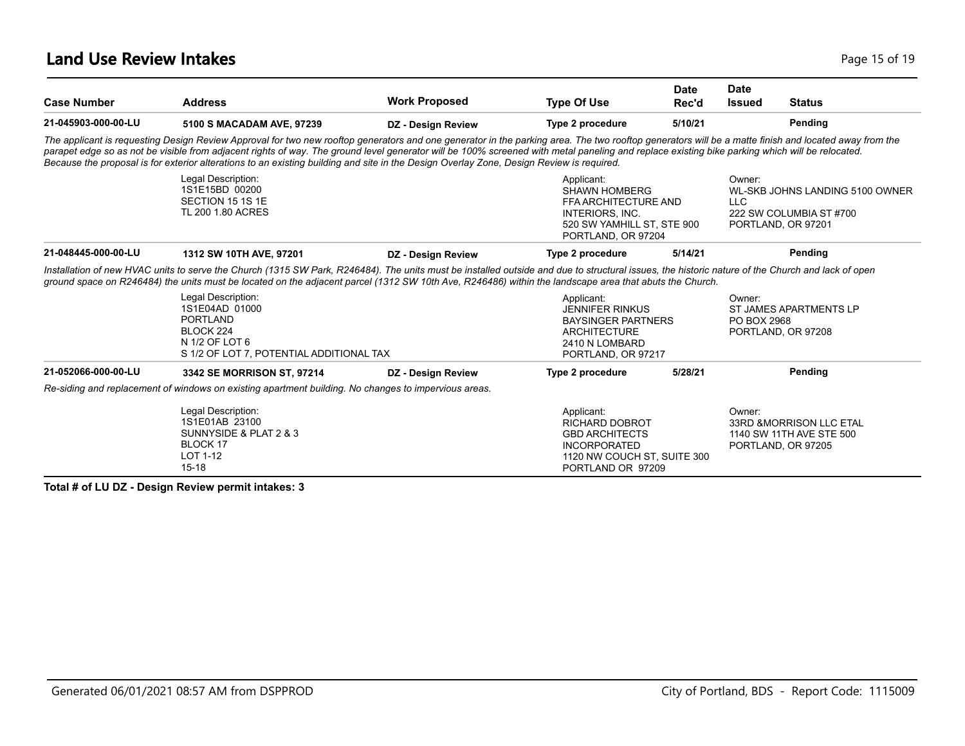## **Land Use Review Intakes** Page 15 of 19

| <b>Case Number</b>  | <b>Address</b>                                                                                                                                                                                                                                                                                                                                                                                                                                                                                                                                     | <b>Work Proposed</b>      | <b>Type Of Use</b>                                                                                                                      | <b>Date</b><br>Rec'd | <b>Date</b><br><b>Issued</b> | <b>Status</b>                                                                    |
|---------------------|----------------------------------------------------------------------------------------------------------------------------------------------------------------------------------------------------------------------------------------------------------------------------------------------------------------------------------------------------------------------------------------------------------------------------------------------------------------------------------------------------------------------------------------------------|---------------------------|-----------------------------------------------------------------------------------------------------------------------------------------|----------------------|------------------------------|----------------------------------------------------------------------------------|
| 21-045903-000-00-LU | 5100 S MACADAM AVE, 97239                                                                                                                                                                                                                                                                                                                                                                                                                                                                                                                          | DZ - Design Review        | Type 2 procedure                                                                                                                        | 5/10/21              |                              | Pending                                                                          |
|                     | The applicant is requesting Design Review Approval for two new rooftop generators and one generator in the parking area. The two rooftop generators will be a matte finish and located away from the<br>parapet edge so as not be visible from adjacent rights of way. The ground level generator will be 100% screened with metal paneling and replace existing bike parking which will be relocated.<br>Because the proposal is for exterior alterations to an existing building and site in the Design Overlay Zone, Design Review is required. |                           |                                                                                                                                         |                      |                              |                                                                                  |
|                     | Legal Description:<br>1S1E15BD 00200<br>SECTION 15 1S 1E<br>TL 200 1.80 ACRES                                                                                                                                                                                                                                                                                                                                                                                                                                                                      |                           | Applicant:<br><b>SHAWN HOMBERG</b><br>FFA ARCHITECTURE AND<br>INTERIORS. INC.<br>520 SW YAMHILL ST, STE 900<br>PORTLAND, OR 97204       |                      | Owner:<br><b>LLC</b>         | WL-SKB JOHNS LANDING 5100 OWNER<br>222 SW COLUMBIA ST #700<br>PORTLAND, OR 97201 |
| 21-048445-000-00-LU | 1312 SW 10TH AVE, 97201                                                                                                                                                                                                                                                                                                                                                                                                                                                                                                                            | <b>DZ</b> - Design Review | Type 2 procedure                                                                                                                        | 5/14/21              |                              | Pending                                                                          |
|                     | Installation of new HVAC units to serve the Church (1315 SW Park, R246484). The units must be installed outside and due to structural issues, the historic nature of the Church and lack of open<br>ground space on R246484) the units must be located on the adjacent parcel (1312 SW 10th Ave, R246486) within the landscape area that abuts the Church.                                                                                                                                                                                         |                           |                                                                                                                                         |                      |                              |                                                                                  |
|                     | Legal Description:<br>1S1E04AD 01000<br><b>PORTLAND</b><br>BLOCK 224<br>N 1/2 OF LOT 6<br>S 1/2 OF LOT 7, POTENTIAL ADDITIONAL TAX                                                                                                                                                                                                                                                                                                                                                                                                                 |                           | Applicant:<br><b>JENNIFER RINKUS</b><br><b>BAYSINGER PARTNERS</b><br><b>ARCHITECTURE</b><br>2410 N LOMBARD<br>PORTLAND, OR 97217        |                      | Owner:<br>PO BOX 2968        | ST JAMES APARTMENTS LP<br>PORTLAND, OR 97208                                     |
| 21-052066-000-00-LU | 3342 SE MORRISON ST, 97214                                                                                                                                                                                                                                                                                                                                                                                                                                                                                                                         | <b>DZ</b> - Design Review | Type 2 procedure                                                                                                                        | 5/28/21              |                              | Pending                                                                          |
|                     | Re-siding and replacement of windows on existing apartment building. No changes to impervious areas.                                                                                                                                                                                                                                                                                                                                                                                                                                               |                           |                                                                                                                                         |                      |                              |                                                                                  |
|                     | Legal Description:<br>1S1E01AB 23100<br>SUNNYSIDE & PLAT 2 & 3<br>BLOCK 17<br>LOT 1-12<br>$15 - 18$                                                                                                                                                                                                                                                                                                                                                                                                                                                |                           | Applicant:<br><b>RICHARD DOBROT</b><br><b>GBD ARCHITECTS</b><br><b>INCORPORATED</b><br>1120 NW COUCH ST, SUITE 300<br>PORTLAND OR 97209 |                      | Owner:                       | 33RD & MORRISON LLC ETAL<br>1140 SW 11TH AVE STE 500<br>PORTLAND, OR 97205       |

**Total # of LU DZ - Design Review permit intakes: 3**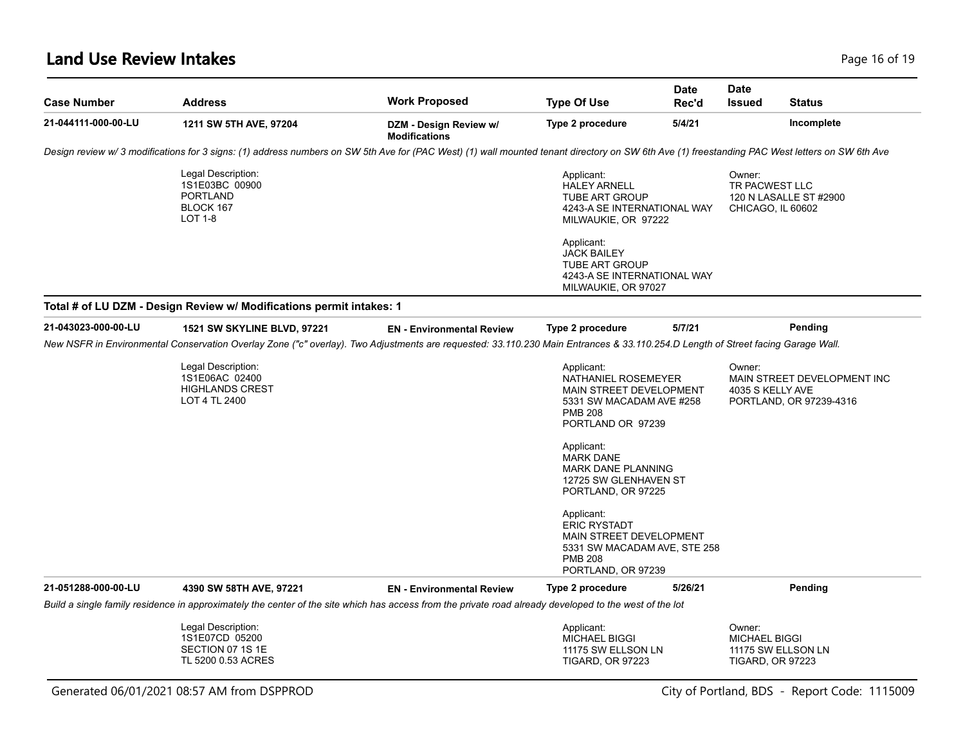## **Land Use Review Intakes** Page 16 of 19

| <b>Case Number</b>  | <b>Address</b>                                                                                                                                                                                | <b>Work Proposed</b>                           | <b>Type Of Use</b>                                                                                                                   | <b>Date</b><br>Rec'd | <b>Date</b><br><b>Issued</b>                  | <b>Status</b>                                                                                                         |
|---------------------|-----------------------------------------------------------------------------------------------------------------------------------------------------------------------------------------------|------------------------------------------------|--------------------------------------------------------------------------------------------------------------------------------------|----------------------|-----------------------------------------------|-----------------------------------------------------------------------------------------------------------------------|
| 21-044111-000-00-LU | 1211 SW 5TH AVE, 97204                                                                                                                                                                        | DZM - Design Review w/<br><b>Modifications</b> | Type 2 procedure                                                                                                                     | 5/4/21               |                                               | Incomplete                                                                                                            |
|                     | Design review w/3 modifications for 3 signs: (1) address numbers on SW 5th Ave for (PAC West) (1) wall mounted tenant directory on SW 6th Ave (1) freestanding PAC West letters on SW 6th Ave |                                                |                                                                                                                                      |                      |                                               |                                                                                                                       |
|                     | Legal Description:<br>1S1E03BC 00900<br><b>PORTLAND</b><br>BLOCK 167<br><b>LOT 1-8</b>                                                                                                        |                                                | Applicant:<br><b>HALEY ARNELL</b><br>TUBE ART GROUP<br>4243-A SE INTERNATIONAL WAY<br>MILWAUKIE, OR 97222                            |                      | Owner:<br>TR PACWEST LLC<br>CHICAGO, IL 60602 | 120 N LASALLE ST #2900                                                                                                |
|                     |                                                                                                                                                                                               |                                                | Applicant:<br><b>JACK BAILEY</b><br><b>TUBE ART GROUP</b><br>4243-A SE INTERNATIONAL WAY<br>MILWAUKIE, OR 97027                      |                      |                                               |                                                                                                                       |
|                     | Total # of LU DZM - Design Review w/ Modifications permit intakes: 1                                                                                                                          |                                                |                                                                                                                                      |                      |                                               |                                                                                                                       |
| 21-043023-000-00-LU | 1521 SW SKYLINE BLVD, 97221                                                                                                                                                                   | <b>EN</b> - Environmental Review               | <b>Type 2 procedure</b>                                                                                                              | 5/7/21               |                                               | Pending                                                                                                               |
|                     | New NSFR in Environmental Conservation Overlay Zone ("c" overlay). Two Adjustments are requested: 33.110.230 Main Entrances & 33.110.254.D Length of Street facing Garage Wall.               |                                                |                                                                                                                                      |                      |                                               |                                                                                                                       |
|                     | Legal Description:<br>1S1E06AC 02400<br><b>HIGHLANDS CREST</b><br>LOT 4 TL 2400                                                                                                               |                                                | Applicant:<br>NATHANIEL ROSEMEYER<br>MAIN STREET DEVELOPMENT<br>5331 SW MACADAM AVE #258<br><b>PMB 208</b><br>PORTLAND OR 97239      |                      | Owner:<br>4035 S KELLY AVE                    | MAIN STREET DEVELOPMENT INC<br>PORTLAND, OR 97239-4316                                                                |
|                     |                                                                                                                                                                                               |                                                | Applicant:<br><b>MARK DANE</b><br><b>MARK DANE PLANNING</b><br>12725 SW GLENHAVEN ST<br>PORTLAND, OR 97225                           |                      |                                               |                                                                                                                       |
|                     |                                                                                                                                                                                               |                                                | Applicant:<br><b>ERIC RYSTADT</b><br>MAIN STREET DEVELOPMENT<br>5331 SW MACADAM AVE, STE 258<br><b>PMB 208</b><br>PORTLAND, OR 97239 |                      |                                               |                                                                                                                       |
| 21-051288-000-00-LU | 4390 SW 58TH AVE, 97221                                                                                                                                                                       | <b>EN</b> - Environmental Review               | Type 2 procedure                                                                                                                     | 5/26/21              |                                               | Pending                                                                                                               |
|                     | Build a single family residence in approximately the center of the site which has access from the private road already developed to the west of the lot                                       |                                                |                                                                                                                                      |                      |                                               |                                                                                                                       |
|                     | Legal Description:<br>1S1E07CD 05200<br>SECTION 07 1S 1E<br>TL 5200 0.53 ACRES                                                                                                                |                                                | Applicant:<br><b>MICHAEL BIGGI</b><br>11175 SW ELLSON LN<br><b>TIGARD, OR 97223</b>                                                  |                      | Owner:                                        |                                                                                                                       |
|                     | Generated 06/01/2021 08:57 AM from DSPPROD                                                                                                                                                    |                                                |                                                                                                                                      |                      |                                               | <b>MICHAEL BIGGI</b><br>11175 SW ELLSON LN<br><b>TIGARD, OR 97223</b><br>City of Portland, BDS - Report Code: 1115009 |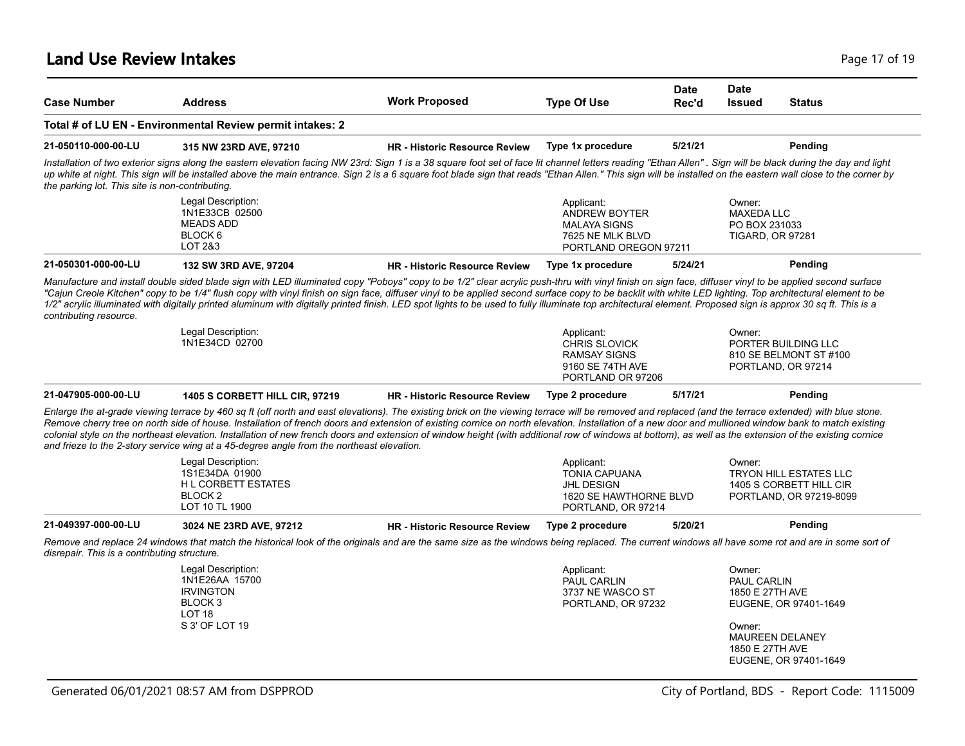## **Land Use Review Intakes** Page 17 of 19

| <b>Case Number</b>                              | <b>Address</b>                                                                                                                                                                                                                                                                                                                                                                                                                                                                                                                                                                                                                                                                                                        | <b>Work Proposed</b>                 | <b>Type Of Use</b>                                                                                      | Date<br>Rec'd | <b>Date</b><br><b>Issued</b>                                            | <b>Status</b>                                                                       |
|-------------------------------------------------|-----------------------------------------------------------------------------------------------------------------------------------------------------------------------------------------------------------------------------------------------------------------------------------------------------------------------------------------------------------------------------------------------------------------------------------------------------------------------------------------------------------------------------------------------------------------------------------------------------------------------------------------------------------------------------------------------------------------------|--------------------------------------|---------------------------------------------------------------------------------------------------------|---------------|-------------------------------------------------------------------------|-------------------------------------------------------------------------------------|
|                                                 | Total # of LU EN - Environmental Review permit intakes: 2                                                                                                                                                                                                                                                                                                                                                                                                                                                                                                                                                                                                                                                             |                                      |                                                                                                         |               |                                                                         |                                                                                     |
| 21-050110-000-00-LU                             | 315 NW 23RD AVE, 97210                                                                                                                                                                                                                                                                                                                                                                                                                                                                                                                                                                                                                                                                                                | <b>HR - Historic Resource Review</b> | Type 1x procedure                                                                                       | 5/21/21       |                                                                         | Pending                                                                             |
| the parking lot. This site is non-contributing. | Installation of two exterior signs along the eastern elevation facing NW 23rd: Sign 1 is a 38 square foot set of face lit channel letters reading "Ethan Allen". Sign will be black during the day and light<br>up white at night. This sign will be installed above the main entrance. Sign 2 is a 6 square foot blade sign that reads "Ethan Allen." This sign will be installed on the eastern wall close to the corner by                                                                                                                                                                                                                                                                                         |                                      |                                                                                                         |               |                                                                         |                                                                                     |
|                                                 | Legal Description:<br>1N1E33CB 02500<br><b>MEADS ADD</b><br>BLOCK 6<br>LOT 2&3                                                                                                                                                                                                                                                                                                                                                                                                                                                                                                                                                                                                                                        |                                      | Applicant:<br><b>ANDREW BOYTER</b><br><b>MALAYA SIGNS</b><br>7625 NE MLK BLVD<br>PORTLAND OREGON 97211  |               | Owner:<br><b>MAXEDA LLC</b><br>PO BOX 231033<br><b>TIGARD, OR 97281</b> |                                                                                     |
| 21-050301-000-00-LU                             | 132 SW 3RD AVE, 97204                                                                                                                                                                                                                                                                                                                                                                                                                                                                                                                                                                                                                                                                                                 | <b>HR</b> - Historic Resource Review | Type 1x procedure                                                                                       | 5/24/21       |                                                                         | Pending                                                                             |
| contributing resource.                          | Manufacture and install double sided blade sign with LED illuminated copy "Poboys" copy to be 1/2" clear acrylic push-thru with vinyl finish on sign face, diffuser vinyl to be applied second surface<br>"Cajun Creole Kitchen" copy to be 1/4" flush copy with vinyl finish on sign face, diffuser vinyl to be applied second surface copy to be backlit with white LED lighting. Top architectural element to be<br>1/2" acrylic illuminated with digitally printed aluminum with digitally printed finish. LED spot lights to be used to fully illuminate top architectural element. Proposed sign is approx 30 sq ft. This is a<br>Legal Description:                                                            |                                      | Applicant:                                                                                              |               | Owner:                                                                  |                                                                                     |
|                                                 | 1N1E34CD 02700                                                                                                                                                                                                                                                                                                                                                                                                                                                                                                                                                                                                                                                                                                        |                                      | CHRIS SLOVICK<br><b>RAMSAY SIGNS</b><br>9160 SE 74TH AVE<br>PORTLAND OR 97206                           |               |                                                                         | PORTER BUILDING LLC<br>810 SE BELMONT ST #100<br>PORTLAND, OR 97214                 |
| 21-047905-000-00-LU                             | 1405 S CORBETT HILL CIR, 97219                                                                                                                                                                                                                                                                                                                                                                                                                                                                                                                                                                                                                                                                                        | <b>HR</b> - Historic Resource Review | Type 2 procedure                                                                                        | 5/17/21       |                                                                         | Pending                                                                             |
|                                                 | Enlarge the at-grade viewing terrace by 460 sq ft (off north and east elevations). The existing brick on the viewing terrace will be removed and replaced (and the terrace extended) with blue stone.<br>Remove cherry tree on north side of house. Installation of french doors and extension of existing cornice on north elevation. Installation of a new door and mullioned window bank to match existing<br>colonial style on the northeast elevation. Installation of new french doors and extension of window height (with additional row of windows at bottom), as well as the extension of the existing cornice<br>and frieze to the 2-story service wing at a 45-degree angle from the northeast elevation. |                                      |                                                                                                         |               |                                                                         |                                                                                     |
|                                                 | Legal Description:<br>1S1E34DA 01900<br><b>HL CORBETT ESTATES</b><br>BLOCK <sub>2</sub><br>LOT 10 TL 1900                                                                                                                                                                                                                                                                                                                                                                                                                                                                                                                                                                                                             |                                      | Applicant:<br><b>TONIA CAPUANA</b><br><b>JHL DESIGN</b><br>1620 SE HAWTHORNE BLVD<br>PORTLAND, OR 97214 |               | Owner:                                                                  | <b>TRYON HILL ESTATES LLC</b><br>1405 S CORBETT HILL CIR<br>PORTLAND, OR 97219-8099 |
| 21-049397-000-00-LU                             | 3024 NE 23RD AVE, 97212                                                                                                                                                                                                                                                                                                                                                                                                                                                                                                                                                                                                                                                                                               | <b>HR - Historic Resource Review</b> | Type 2 procedure                                                                                        | 5/20/21       |                                                                         | Pending                                                                             |
| disrepair. This is a contributing structure.    | Remove and replace 24 windows that match the historical look of the originals and are the same size as the windows being replaced. The current windows all have some rot and are in some sort of                                                                                                                                                                                                                                                                                                                                                                                                                                                                                                                      |                                      |                                                                                                         |               |                                                                         |                                                                                     |
|                                                 | Legal Description:<br>1N1E26AA 15700<br><b>IRVINGTON</b><br>BLOCK 3<br>LOT 18<br>S 3' OF LOT 19                                                                                                                                                                                                                                                                                                                                                                                                                                                                                                                                                                                                                       |                                      | Applicant:<br>PAUL CARLIN<br>3737 NE WASCO ST<br>PORTLAND, OR 97232                                     |               | Owner:<br>PAUL CARLIN<br>1850 E 27TH AVE<br>Owner:                      | EUGENE, OR 97401-1649                                                               |
|                                                 |                                                                                                                                                                                                                                                                                                                                                                                                                                                                                                                                                                                                                                                                                                                       |                                      |                                                                                                         |               | 1850 E 27TH AVE                                                         | <b>MAUREEN DELANEY</b><br>EUGENE, OR 97401-1649                                     |
|                                                 | Generated 06/01/2021 08:57 AM from DSPPROD                                                                                                                                                                                                                                                                                                                                                                                                                                                                                                                                                                                                                                                                            |                                      |                                                                                                         |               |                                                                         | City of Portland, BDS - Report Code: 1115009                                        |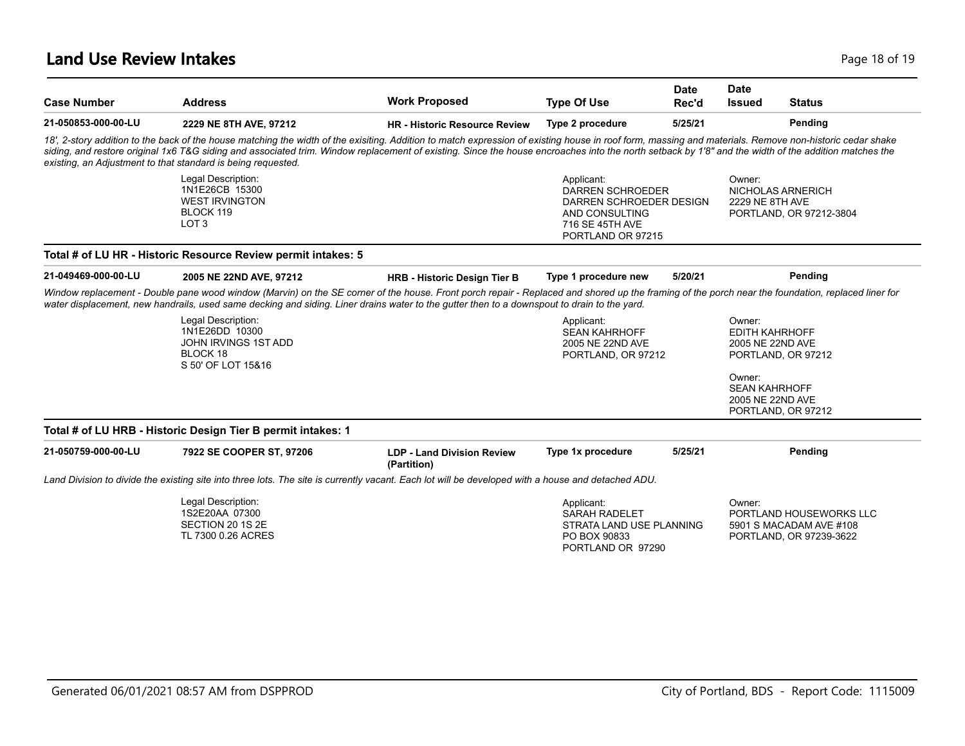## **Land Use Review Intakes** Page 18 of 19

| <b>Case Number</b>  | <b>Address</b>                                                                                                                                                                                                                                                                                                                                                                                                                                                                  | <b>Work Proposed</b>                             | <b>Type Of Use</b>                                                                                                         | <b>Date</b><br>Rec'd | Date<br><b>Issued</b>                               | <b>Status</b>                                                                 |
|---------------------|---------------------------------------------------------------------------------------------------------------------------------------------------------------------------------------------------------------------------------------------------------------------------------------------------------------------------------------------------------------------------------------------------------------------------------------------------------------------------------|--------------------------------------------------|----------------------------------------------------------------------------------------------------------------------------|----------------------|-----------------------------------------------------|-------------------------------------------------------------------------------|
| 21-050853-000-00-LU | 2229 NE 8TH AVE, 97212                                                                                                                                                                                                                                                                                                                                                                                                                                                          | <b>HR - Historic Resource Review</b>             | Type 2 procedure                                                                                                           | 5/25/21              |                                                     | Pending                                                                       |
|                     | 18', 2-story addition to the back of the house matching the width of the exisiting. Addition to match expression of existing house in roof form, massing and materials. Remove non-historic cedar shake<br>siding, and restore original 1x6 T&G siding and associated trim. Window replacement of existing. Since the house encroaches into the north setback by 1'8" and the width of the addition matches the<br>existing, an Adjustment to that standard is being requested. |                                                  |                                                                                                                            |                      |                                                     |                                                                               |
|                     | Legal Description:<br>1N1E26CB 15300<br><b>WEST IRVINGTON</b><br>BLOCK 119<br>LOT <sub>3</sub>                                                                                                                                                                                                                                                                                                                                                                                  |                                                  | Applicant:<br><b>DARREN SCHROEDER</b><br>DARREN SCHROEDER DESIGN<br>AND CONSULTING<br>716 SE 45TH AVE<br>PORTLAND OR 97215 |                      | Owner:<br><b>2229 NE 8TH AVE</b>                    | NICHOLAS ARNERICH<br>PORTLAND, OR 97212-3804                                  |
|                     | Total # of LU HR - Historic Resource Review permit intakes: 5                                                                                                                                                                                                                                                                                                                                                                                                                   |                                                  |                                                                                                                            |                      |                                                     |                                                                               |
| 21-049469-000-00-LU | 2005 NE 22ND AVE, 97212                                                                                                                                                                                                                                                                                                                                                                                                                                                         | <b>HRB - Historic Design Tier B</b>              | Type 1 procedure new                                                                                                       | 5/20/21              |                                                     | Pending                                                                       |
|                     | Window replacement - Double pane wood window (Marvin) on the SE corner of the house. Front porch repair - Replaced and shored up the framing of the porch near the foundation, replaced liner for<br>water displacement, new handrails, used same decking and siding. Liner drains water to the gutter then to a downspout to drain to the yard.                                                                                                                                |                                                  |                                                                                                                            |                      |                                                     |                                                                               |
|                     | Legal Description:<br>1N1E26DD 10300<br>JOHN IRVINGS 1ST ADD<br>BLOCK 18<br>S 50' OF LOT 15&16                                                                                                                                                                                                                                                                                                                                                                                  |                                                  | Applicant:<br><b>SEAN KAHRHOFF</b><br>2005 NE 22ND AVE<br>PORTLAND, OR 97212                                               |                      | Owner:<br><b>EDITH KAHRHOFF</b><br>2005 NE 22ND AVE | PORTLAND, OR 97212                                                            |
|                     |                                                                                                                                                                                                                                                                                                                                                                                                                                                                                 |                                                  |                                                                                                                            |                      | Owner:<br><b>SEAN KAHRHOFF</b><br>2005 NE 22ND AVE  | PORTLAND, OR 97212                                                            |
|                     | Total # of LU HRB - Historic Design Tier B permit intakes: 1                                                                                                                                                                                                                                                                                                                                                                                                                    |                                                  |                                                                                                                            |                      |                                                     |                                                                               |
| 21-050759-000-00-LU | 7922 SE COOPER ST, 97206                                                                                                                                                                                                                                                                                                                                                                                                                                                        | <b>LDP - Land Division Review</b><br>(Partition) | Type 1x procedure                                                                                                          | 5/25/21              |                                                     | Pending                                                                       |
|                     | Land Division to divide the existing site into three lots. The site is currently vacant. Each lot will be developed with a house and detached ADU.                                                                                                                                                                                                                                                                                                                              |                                                  |                                                                                                                            |                      |                                                     |                                                                               |
|                     | Legal Description:<br>1S2E20AA 07300<br>SECTION 20 1S 2E<br>TL 7300 0.26 ACRES                                                                                                                                                                                                                                                                                                                                                                                                  |                                                  | Applicant:<br><b>SARAH RADELET</b><br>STRATA LAND USE PLANNING<br>PO BOX 90833                                             |                      | Owner:                                              | PORTLAND HOUSEWORKS LLC<br>5901 S MACADAM AVE #108<br>PORTLAND, OR 97239-3622 |